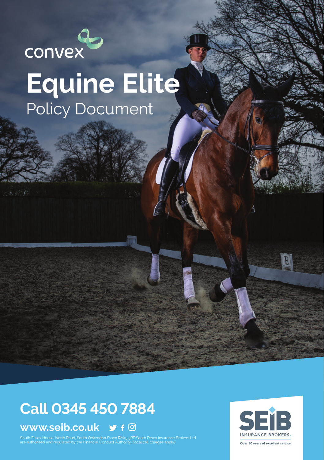

# **Equine Elite** Policy Document

## **Call 0345 450 7884**

### **www.seib.co.uk**

.<br>South Essex House, North Road, South Ockendon Essex RM15 5BE.South Essex Insurance Brokers Ltd<br>are authorised and regulated by the Financial Conduct Authority. (local call charges apply)

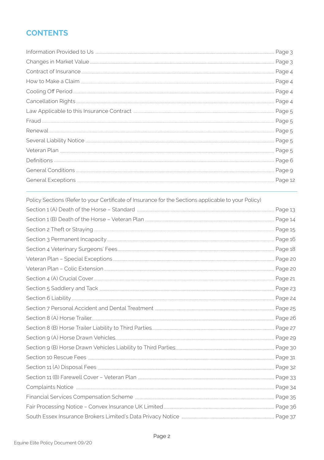### **CONTENTS**

| Page 4  |
|---------|
|         |
| Page 4  |
|         |
|         |
|         |
|         |
|         |
|         |
|         |
| Page 12 |
|         |

| Policy Sections (Refer to your Certificate of Insurance for the Sections applicable to your Policy) |  |
|-----------------------------------------------------------------------------------------------------|--|
|                                                                                                     |  |
|                                                                                                     |  |
|                                                                                                     |  |
|                                                                                                     |  |
|                                                                                                     |  |
|                                                                                                     |  |
|                                                                                                     |  |
|                                                                                                     |  |
|                                                                                                     |  |
|                                                                                                     |  |
|                                                                                                     |  |
|                                                                                                     |  |
|                                                                                                     |  |
|                                                                                                     |  |
|                                                                                                     |  |
|                                                                                                     |  |
|                                                                                                     |  |
|                                                                                                     |  |
|                                                                                                     |  |
|                                                                                                     |  |
|                                                                                                     |  |
|                                                                                                     |  |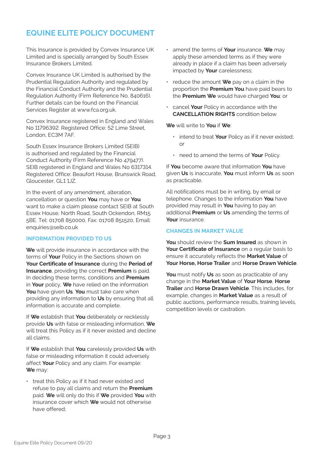### **EQUINE ELITE POLICY DOCUMENT**

This Insurance is provided by Convex Insurance UK Limited and is specially arranged by South Essex Insurance Brokers Limited.

Convex Insurance UK Limited is authorised by the Prudential Regulation Authority and regulated by the Financial Conduct Authority and the Prudential Regulation Authority (Firm Reference No. 840616). Further details can be found on the Financial Services Register at www.fca.org.uk.

Convex Insurance registered in England and Wales No 11796392. Registered Office: 52 Lime Street London, EC3M 7AF.

South Essex Insurance Brokers Limited (SEIB) is authorised and regulated by the Financial Conduct Authority (Firm Reference No 479477). SEIB registered in England and Wales No 6317314. Registered Office: Beaufort House, Brunswick Road, Gloucester, GL1 1JZ.

In the event of any amendment, alteration, cancellation or question **You** may have or **You** want to make a claim please contact SEIB at South Essex House, North Road, South Ockendon, RM15 5BE. Tel: 01708 850000, Fax: 01708 851520, Email: enquiries@seib.co.uk

#### **INFORMATION PROVIDED TO US**

**We** will provide insurance in accordance with the terms of **Your** Policy in the Sections shown on **Your Certificate of Insurance** during the **Period of Insurance**, providing the correct **Premium** is paid. In deciding these terms, conditions and **Premium** in **Your** policy, **We** have relied on the information **You** have given **Us**. **You** must take care when providing any information to **Us** by ensuring that all information is accurate and complete.

If **We** establish that **You** deliberately or recklessly provide **Us** with false or misleading information, **We**  will treat this Policy as if it never existed and decline all claims.

If **We** establish that **You** carelessly provided **Us** with false or misleading information it could adversely affect **Your** Policy and any claim. For example: **We** may:

• treat this Policy as if it had never existed and refuse to pay all claims and return the **Premium** paid. **We** will only do this if **We** provided **You** with insurance cover which **We** would not otherwise have offered;

- amend the terms of **Your** insurance. **We** may apply these amended terms as if they were already in place if a claim has been adversely impacted by **Your** carelessness;
- reduce the amount **We** pay on a claim in the proportion the **Premium You** have paid bears to the **Premium We** would have charged **You**; or
- cancel **Your** Policy in accordance with the **CANCELLATION RIGHTS** condition below.

**We** will write to **You** if **We**:

- intend to treat **Your** Policy as if it never existed; or
- need to amend the terms of **Your** Policy.

If **You** become aware that information **You** have given **Us** is inaccurate, **You** must inform **Us** as soon as practicable.

All notifications must be in writing, by email or telephone. Changes to the information **You** have provided may result in **You** having to pay an additional **Premium** or **Us** amending the terms of **Your** insurance.

#### **CHANGES IN MARKET VALUE**

**You** should review the **Sum Insured** as shown in **Your Certificate of Insurance** on a regular basis to ensure it accurately reflects the **Market Value** of **Your Horse, Horse Trailer** and **Horse Drawn Vehicle**.

**You** must notify **Us** as soon as practicable of any change in the **Market Value** of **Your Horse**, **Horse Trailer** and **Horse Drawn Vehicle**. This includes, for example, changes in **Market Value** as a result of public auctions, performance results, training levels, competition levels or castration.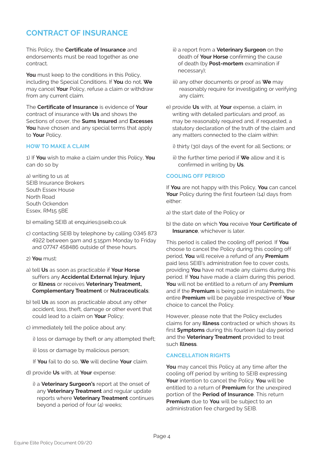### **CONTRACT OF INSURANCE**

This Policy, the **Certificate of Insurance** and endorsements must be read together as one contract.

**You** must keep to the conditions in this Policy, including the Special Conditions. If **You** do not, **We** may cancel **Your** Policy, refuse a claim or withdraw from any current claim.

The **Certificate of Insurance** is evidence of **Your** contract of insurance with **Us** and shows the Sections of cover, the **Sums Insured** and **Excesses You** have chosen and any special terms that apply to **Your** Policy.

#### **HOW TO MAKE A CLAIM**

1) If **You** wish to make a claim under this Policy, **You** can do so by

a) writing to us at SEIB Insurance Brokers South Essex House North Road South Ockendon Essex, RM15 5BE

b) emailing SEIB at enquiries@seib.co.uk

- c) contacting SEIB by telephone by calling 0345 873 4922 between 9am and 5:15pm Monday to Friday and 07747 458486 outside of these hours.
- 2) **You** must:
- a) tell **Us** as soon as practicable if **Your Horse** suffers any **Accidental External Injury**, **Injury** or **Illness** or receives **Veterinary Treatment, Complementary Treatment** or **Nutraceuticals**;
- b) tell **Us** as soon as practicable about any other accident, loss, theft, damage or other event that could lead to a claim on **Your** Policy;
- c) immediately tell the police about any:

i) loss or damage by theft or any attempted theft;

ii) loss or damage by malicious person;

If **You** fail to do so, **We** will decline **Your** claim.

- d) provide **Us** with, at **Your** expense:
	- i) a **Veterinary Surgeon's** report at the onset of any **Veterinary Treatment** and regular update reports where **Veterinary Treatment** continues beyond a period of four  $(4)$  weeks;
- ii) a report from a **Veterinary Surgeon** on the death of **Your Horse** confirming the cause of death (by **Post-mortem** examination if necessary);
- iii) any other documents or proof as **We** may reasonably require for investigating or verifying any claim;
- e) provide **Us** with, at **Your** expense, a claim, in writing with detailed particulars and proof, as may be reasonably required and, if requested, a statutory declaration of the truth of the claim and any matters connected to the claim within:
	- i) thirty (30) days of the event for all Sections; or
	- ii) the further time period if **We** allow and it is confirmed in writing by **Us**.

#### **COOLING OFF PERIOD**

If **You** are not happy with this Policy, **You** can cancel Your Policy during the first fourteen (14) days from either:

a) the start date of the Policy or

b) the date on which **You** receive **Your Certificate of Insurance**, whichever is later.

This period is called the cooling off period. If **You** choose to cancel the Policy during this cooling off period, **You** will receive a refund of any **Premium** paid less SEIB's administration fee to cover costs, providing **You** have not made any claims during this period. If **You** have made a claim during this period, **You** will not be entitled to a return of any **Premium** and if the **Premium** is being paid in instalments, the entire **Premium** will be payable irrespective of **Your** choice to cancel the Policy.

However, please note that the Policy excludes claims for any **Illness** contracted or which shows its first **Symptoms** during this fourteen (14) day period and the **Veterinary Treatment** provided to treat such **Illness**.

#### **CANCELLATION RIGHTS**

**You** may cancel this Policy at any time after the cooling off period by writing to SEIB expressing **Your** intention to cancel the Policy. **You** will be entitled to a return of **Premium** for the unexpired portion of the **Period of Insurance**. This return **Premium** due to **You** will be subject to an administration fee charged by SEIB.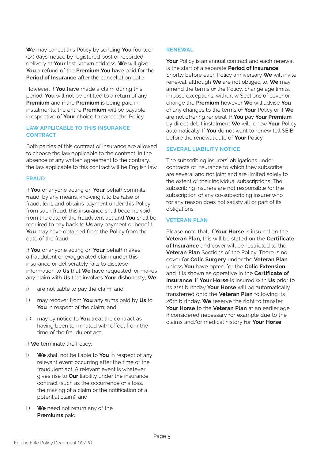**We** may cancel this Policy by sending **You** fourteen (14) days' notice by registered post or recorded delivery at **Your** last known address. **We** will give **You** a refund of the **Premium You** have paid for the **Period of Insurance** after the cancellation date.

However, if **You** have made a claim during this period, **You** will not be entitled to a return of any **Premium** and if the **Premium** is being paid in instalments, the entire **Premium** will be payable irrespective of **Your** choice to cancel the Policy.

#### **LAW APPLICABLE TO THIS INSURANCE CONTRACT**

Both parties of this contract of insurance are allowed to choose the law applicable to the contract. In the absence of any written agreement to the contrary, the law applicable to this contract will be English law.

#### **FRAUD**

If **You** or anyone acting on **Your** behalf commits fraud, by any means, knowing it to be false or fraudulent, and obtains payment under this Policy from such fraud, this insurance shall become void from the date of the fraudulent act and **You** shall be required to pay back to **Us** any payment or benefit **You** may have obtained from the Policy from the date of the fraud.

If **You** or anyone acting on **Your** behalf makes a fraudulent or exaggerated claim under this insurance or deliberately fails to disclose information to **Us** that **We** have requested, or makes any claim with **Us** that involves **Your** dishonesty, **We**:

- i) are not liable to pay the claim; and
- ii) may recover from **You** any sums paid by **Us** to **You** in respect of the claim; and
- iii) may by notice to **You** treat the contract as having been terminated with effect from the time of the fraudulent act.

If **We** terminate the Policy:

- i) **We** shall not be liable to **You** in respect of any relevant event occurring after the time of the fraudulent act. A relevant event is whatever gives rise to **Our** liability under the insurance contract (such as the occurrence of a loss, the making of a claim or the notification of a potential claim); and
- ii) **We** need not return any of the **Premiums** paid.

#### **RENEWAL**

**Your** Policy is an annual contract and each renewal is the start of a separate **Period of Insurance**. Shortly before each Policy anniversary **We** will invite renewal, although **We** are not obliged to. **We** may amend the terms of the Policy, change age limits, impose exceptions, withdraw Sections of cover or change the **Premium** however **We** will advise **You** of any changes to the terms of **Your** Policy or if **We** are not offering renewal. If **You** pay **Your Premium** by direct debit instalment **We** will renew **Your** Policy automatically. If **You** do not want to renew tell SEIB before the renewal date of **Your** Policy.

#### **SEVERAL LIABILITY NOTICE**

The subscribing insurers' obligations under contracts of insurance to which they subscribe are several and not joint and are limited solely to the extent of their individual subscriptions. The subscribing insurers are not responsible for the subscription of any co-subscribing insurer who for any reason does not satisfy all or part of its obligations.

#### **VETERAN PLAN**

Please note that, if **Your Horse** is insured on the **Veteran Plan**, this will be stated on the **Certificate of Insurance** and cover will be restricted to the **Veteran Plan** Sections of the Policy. There is no cover for **Colic Surgery** under the **Veteran Plan** unless **You** have opted for the **Colic Extension** and it is shown as operative in the **Certificate of Insurance**. If **Your Horse** is insured with **Us** prior to its 21st birthday **Your Horse** will be automatically transferred onto the **Veteran Plan** following its 26th birthday. **We** reserve the right to transfer **Your Horse** to the **Veteran Plan** at an earlier age if considered necessary for example due to the claims and/or medical history for **Your Horse**.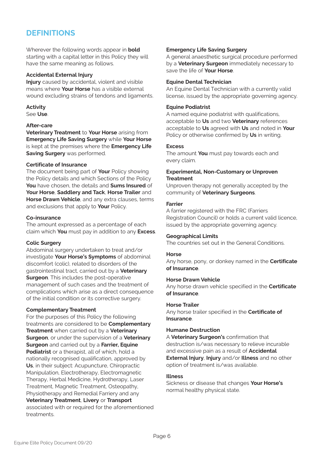### **DEFINITIONS**

Wherever the following words appear in **bold** starting with a capital letter in this Policy they will have the same meaning as follows.

#### **Accidental External Injury**

**Injury** caused by accidental, violent and visible means where **Your Horse** has a visible external wound excluding strains of tendons and ligaments.

**Activity** See **Use**.

#### **After-care**

**Veterinary Treatment** to **Your Horse** arising from **Emergency Life Saving Surgery** while **Your Horse** is kept at the premises where the **Emergency Life Saving Surgery** was performed.

#### **Certificate of Insurance**

The document being part of **Your** Policy showing the Policy details and which Sections of the Policy **You** have chosen, the details and **Sums Insured** of **Your Horse**, **Saddlery and Tack**, **Horse Trailer** and **Horse Drawn Vehicle**, and any extra clauses, terms and exclusions that apply to **Your** Policy.

#### **Co-insurance**

The amount expressed as a percentage of each claim which **You** must pay in addition to any **Excess**.

#### **Colic Surgery**

Abdominal surgery undertaken to treat and/or investigate **Your Horse's Symptoms** of abdominal discomfort (colic), related to disorders of the gastrointestinal tract, carried out by a **Veterinary Surgeon**. This includes the post-operative management of such cases and the treatment of complications which arise as a direct consequence of the initial condition or its corrective surgery.

#### **Complementary Treatment**

For the purposes of this Policy the following treatments are considered to be **Complementary Treatment** when carried out by a **Veterinary Surgeon**, or under the supervision of a **Veterinary Surgeon** and carried out by a **Farrier, Equine Podiatrist** or a therapist, all of which, hold a nationally recognised qualification, approved by **Us**, in their subject: Acupuncture, Chiropractic Manipulation, Electrotherapy, Electromagnetic Therapy, Herbal Medicine, Hydrotherapy, Laser Treatment, Magnetic Treatment, Osteopathy Physiotherapy and Remedial Farriery and any **Veterinary Treatment**, **Livery** or **Transport** associated with or required for the aforementioned treatments.

#### **Emergency Life Saving Surgery**

A general anaesthetic surgical procedure performed by a **Veterinary Surgeon** immediately necessary to save the life of **Your Horse**.

#### **Equine Dental Technician**

An Equine Dental Technician with a currently valid license, issued by the appropriate governing agency.

#### **Equine Podiatrist**

A named equine podiatrist with qualifications, acceptable to **Us** and two **Veterinary** references acceptable to **Us** agreed with **Us** and noted in **Your** Policy or otherwise confirmed by **Us** in writing.

#### **E**venes

The amount **You** must pay towards each and every claim.

#### **Experimental, Non-Customary or Unproven Treatment**

Unproven therapy not generally accepted by the community of **Veterinary Surgeons**.

#### **Farrier**

A farrier registered with the FRC (Farriers Registration Council) or holds a current valid licence, issued by the appropriate governing agency.

#### **Geographical Limits**

The countries set out in the General Conditions.

#### **Horse**

Any horse, pony, or donkey named in the **Certificate of Insurance**.

#### **Horse Drawn Vehicle**

Any horse drawn vehicle specified in the **Certificate of Insurance**.

#### **Horse Trailer**

Any horse trailer specified in the **Certificate of Insurance**.

#### **Humane Destruction**

A **Veterinary Surgeon's** confirmation that destruction is/was necessary to relieve incurable and excessive pain as a result of **Accidental External Injury**, **Injury** and/or **Illness** and no other option of treatment is/was available.

#### **Illness**

Sickness or disease that changes **Your Horse's** normal healthy physical state.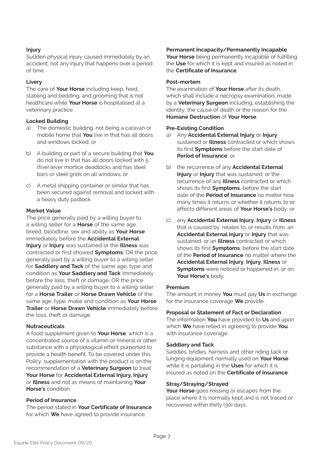#### **Injury**

Sudden physical injury caused immediately by an accident, not any injury that happens over a period of time.

#### **Livery**

The care of **Your Horse** including keep, feed, stabling and bedding, and grooming that is not healthcare while **Your Horse** is hospitalised at a veterinary practice.

#### **Locked Building**

- a) The domestic building, not being a caravan or mobile home that **You** live in that has all doors and windows locked; or
- b) A building or part of a secure building that **You** do not live in that has all doors locked with 5 (five) lever mortice deadlocks and has steel bars or steel grids on all windows; or
- c) A metal shipping container or similar that has been secured against removal and locked with a heavy duty padlock.

#### **Market Value**

The price generally paid by a willing buyer to a willing seller for a **Horse** of the same age, breed, bloodline, sex and ability as **Your Horse** immediately before the **Accidental External Injury** or **Injury** was sustained or the **Illness** was contracted or first showed **Symptoms**, OR the price generally paid by a willing buyer to a willing seller for **Saddlery and Tack** of the same age, type and condition as **Your Saddlery and Tack** immediately before the loss, theft or damage, OR the price generally paid by a willing buyer to a willing seller for a **Horse Trailer** or **Horse Drawn Vehicle** of the same age, type, make and condition as **Your Horse Trailer** or **Horse Drawn Vehicle** immediately before the loss, theft or damage.

#### **Nutraceuticals**

A food supplement given to **Your Horse**, which is a concentrated source of a vitamin or mineral or other substance with a physiological effect purported to provide a health benefit. To be covered under this Policy: supplementation with the product is on the recommendation of a **Veterinary Surgeon** to treat **Your Horse** for **Accidental External Injury, Injury** or **Illness** and not as means of maintaining **Your Horse's** condition.

#### **Period of Insurance**

The period stated in **Your Certificate of Insurance** for which **We** have agreed to provide insurance.

#### **Permanent Incapacity/Permanently Incapable**

**Your Horse** being permanently incapable of fulfilling the **Use** for which it is kept and insured as noted in the **Certificate of Insurance**.

#### **Post-mortem**

The examination of **Your Horse** after its death, which shall include a necropsy examination, made by a **Veterinary Surgeon** including, establishing the identity, the cause of death or the reason for the **Humane Destruction** of **Your Horse**.

#### **Pre-Existing Condition**

- a) Any **Accidental External Injury** or **Injury** sustained or **Illness** contracted or which shows its first **Symptoms** before the start date of **Period of Insurance**; or
- b) the recurrence of any **Accidental External Injury** or **Injury** that was sustained, or the recurrence of any **Illness** contracted or which shows its first **Symptoms**, before the start date of the **Period of Insurance** no matter how many times it returns or whether it returns to or affects different areas of **Your Horse's** body; or
- c) any **Accidental External Injury**, **Injury** or **Illness** that is caused by, relates to, or results from, an **Accidental External Injury** or **Injury** that was sustained, or an **Illness** contracted or which shows its first **Symptoms**, before the start date of the **Period of Insurance** no matter where the **Accidental External Injury**, **Injury**, **Illness** or **Symptoms** were noticed or happened in, or on, **Your Horse's** body.

#### **Premium**

The amount in money **You** must pay **Us** in exchange for the insurance coverage **We** provide.

#### **Proposal or Statement of Fact or Declaration**

The information **You** have provided to **Us** and upon which **We** have relied in agreeing to provide **You** with insurance coverage.

#### **Saddlery and Tack**

Saddles, bridles, harness and other riding tack or lunging equipment normally used on **Your Horse** while it is partaking in the **Uses** for which it is insured as noted on the **Certificate of Insurance**.

#### **Stray/Straying/Strayed**

**Your Horse** goes missing or escapes from the place where it is normally kept and is not traced or recovered within thirty (30) days.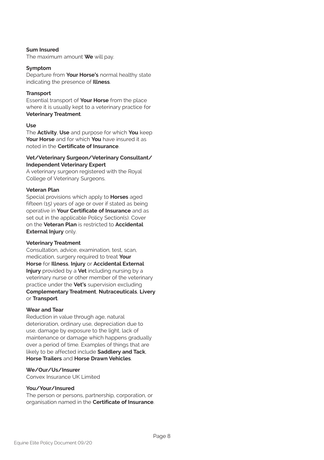#### **Sum Insured**

The maximum amount **We** will pay.

#### **Symptom**

Departure from **Your Horse's** normal healthy state indicating the presence of **Illness**.

#### **Transport**

Essential transport of **Your Horse** from the place where it is usually kept to a veterinary practice for **Veterinary Treatment**.

#### **Use**

The **Activity**, **Use** and purpose for which **You** keep **Your Horse** and for which **You** have insured it as noted in the **Certificate of Insurance**.

#### **Vet/Veterinary Surgeon/Veterinary Consultant/ Independent Veterinary Expert**

A veterinary surgeon registered with the Royal College of Veterinary Surgeons.

#### **Veteran Plan**

Special provisions which apply to **Horses** aged fifteen (15) years of age or over if stated as being operative in **Your Certificate of Insurance** and as set out in the applicable Policy Section(s). Cover on the **Veteran Plan** is restricted to **Accidental External Injury** only.

#### **Veterinary Treatment**

Consultation, advice, examination, test, scan, medication, surgery required to treat **Your Horse** for **Illness**, **Injury** or **Accidental External Injury** provided by a **Vet** including nursing by a veterinary nurse or other member of the veterinary practice under the **Vet's** supervision excluding **Complementary Treatment**, **Nutraceuticals**, **Livery** or **Transport**.

#### **Wear and Tear**

Reduction in value through age, natural deterioration, ordinary use, depreciation due to use, damage by exposure to the light, lack of maintenance or damage which happens gradually over a period of time. Examples of things that are likely to be affected include **Saddlery and Tack**, **Horse Trailers** and **Horse Drawn Vehicles**.

#### **We/Our/Us/Insurer**

Convex Insurance UK Limited

#### **You/Your/Insured**

The person or persons, partnership, corporation, or organisation named in the **Certificate of Insurance**.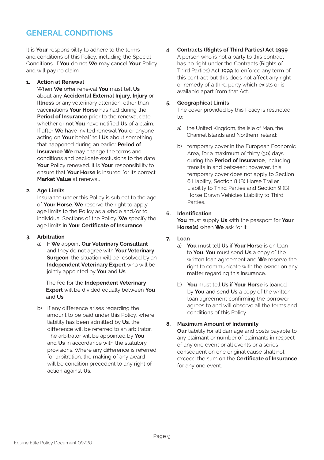### **GENERAL CONDITIONS**

It is **Your** responsibility to adhere to the terms and conditions of this Policy, including the Special Conditions. If **You** do not **We** may cancel **Your** Policy and will pay no claim.

#### **1. Action at Renewal**

When **We** offer renewal **You** must tell **Us** about any **Accidental External Injury**, **Injury** or **Illness** or any veterinary attention, other than vaccinations **Your Horse** has had during the **Period of Insurance** prior to the renewal date whether or not **You** have notified **Us** of a claim. If after **We** have invited renewal **You** or anyone acting on **Your** behalf tell **Us** about something that happened during an earlier **Period of Insurance We** may change the terms and conditions and backdate exclusions to the date **Your** Policy renewed. It is **Your** responsibility to ensure that **Your Horse** is insured for its correct **Market Value** at renewal.

#### **2. Age Limits**

Insurance under this Policy is subject to the age of **Your Horse**. **We** reserve the right to apply age limits to the Policy as a whole and/or to individual Sections of the Policy. **We** specify the age limits in **Your Certificate of Insurance**.

#### **3. Arbitration**

a) If **We** appoint **Our Veterinary Consultant** and they do not agree with **Your Veterinary Surgeon**, the situation will be resolved by an **Independent Veterinary Expert** who will be jointly appointed by **You** and **Us**.

The fee for the **Independent Veterinary Expert** will be divided equally between **You** and **Us**.

b) If any difference arises regarding the amount to be paid under this Policy, where liability has been admitted by **Us**, the difference will be referred to an arbitrator. The arbitrator will be appointed by **You** and **Us** in accordance with the statutory provisions. Where any difference is referred for arbitration, the making of any award will be condition precedent to any right of action against **Us**.

**4. Contracts (Rights of Third Parties) Act 1999** A person who is not a party to this contract has no right under the Contracts (Rights of Third Parties) Act 1999 to enforce any term of this contract but this does not affect any right or remedy of a third party which exists or is available apart from that Act.

#### **5. Geographical Limits**

The cover provided by this Policy is restricted to:

- a) the United Kingdom, the Isle of Man, the Channel Islands and Northern Ireland;
- b) temporary cover in the European Economic Area, for a maximum of thirty (30) days during the **Period of Insurance**, including transits in and between; however, this temporary cover does not apply to Section 6 Liability, Section 8 (B) Horse Trailer Liability to Third Parties and Section 9 (B) Horse Drawn Vehicles Liability to Third Parties.

#### **6. Identification**

**You** must supply **Us** with the passport for **Your Horse(s)** when **We** ask for it.

#### **7. Loan**

- a) **You** must tell **Us** if **Your Horse** is on loan to **You**. **You** must send **Us** a copy of the written loan agreement and **We** reserve the right to communicate with the owner on any matter regarding this insurance.
- b) **You** must tell **Us** if **Your Horse** is loaned by **You** and send **Us** a copy of the written loan agreement confirming the borrower agrees to and will observe all the terms and conditions of this Policy.

#### **8. Maximum Amount of Indemnity**

**Our** liability for all damage and costs payable to any claimant or number of claimants in respect of any one event or all events or a series consequent on one original cause shall not exceed the sum on the **Certificate of Insurance** for any one event.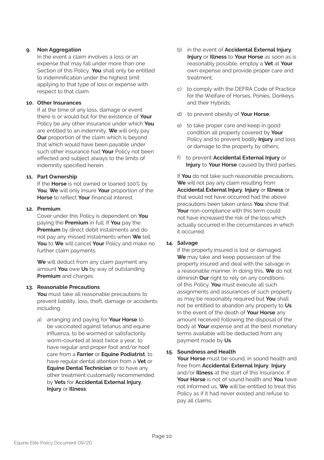#### **9. Non Aggregation**

In the event a claim involves a loss or an expense that may fall under more than one Section of this Policy, **You** shall only be entitled to indemnification under the highest limit applying to that type of loss or expense with respect to that claim.

#### **10. Other Insurances**

If at the time of any loss, damage or event there is or would but for the existence of **Your** Policy be any other insurance under which **You** are entitled to an indemnity, **We** will only pay **Our** proportion of the claim which is beyond that which would have been payable under such other insurance had **Your** Policy not been effected and subject always to the limits of indemnity specified herein.

#### **11. Part Ownership**

If the **Horse** is not owned or loaned 100% by **You**, **We** will only insure **Your** proportion of the **Horse** to reflect **Your** financial interest.

#### **12. Premium**

Cover under this Policy is dependent on **You** paying the **Premium** in full. If **You** pay the **Premium** by direct debit instalments and do not pay any missed instalments when **We** tell **You** to **We** will cancel **Your** Policy and make no further claim payments.

**We** will deduct from any claim payment any amount **You** owe **Us** by way of outstanding **Premium** and charges.

#### **13. Reasonable Precautions**

**You** must take all reasonable precautions to prevent liability, loss, theft, damage or accidents including:

a) arranging and paying for **Your Horse** to be vaccinated against tetanus and equine influenza, to be wormed or satisfactorily worm-counted at least twice a year, to have regular and proper foot and/or hoof care from a **Farrier** or **Equine Podiatrist**, to have regular dental attention from a **Vet** or **Equine Dental Technician** or to have any other treatment customarily recommended by **Vets** for **Accidental External Injury**, **Injury** or **Illness**;

- b) in the event of **Accidental External Injury**, **Injury** or **Illness** to **Your Horse** as soon as is reasonably possible, employ a **Vet** at **Your** own expense and provide proper care and treatment;
- c) to comply with the DEFRA Code of Practice for the Welfare of Horses, Ponies, Donkeys and their Hybrids;
- d) to prevent obesity of **Your Horse**;
- e) to take proper care and keep in good condition all property covered by **Your** Policy and to prevent bodily **Injury** and loss or damage to the property by others;
- f) to prevent **Accidental External Injury** or **Injury** to **Your Horse** caused by third parties.

If **You** do not take such reasonable precautions, **We** will not pay any claim resulting from **Accidental External Injury**, **Injury** or **Illness** or that would not have occurred had the above precautions been taken unless **You** show that **Your** non-compliance with this term could not have increased the risk of the loss which actually occurred in the circumstances in which it occurred.

#### **14. Salvage**

If the property insured is lost or damaged, **We** may take and keep possession of the property insured and deal with the salvage in a reasonable manner. In doing this, **We** do not diminish **Our** right to rely on any conditions of this Policy. **You** must execute all such assignments and assurances of such property as may be reasonably required but **You** shall not be entitled to abandon any property to **Us**. In the event of the death of **Your Horse** any amount received following the disposal of the body at **Your** expense and at the best monetary terms available will be deducted from any payment made by **Us**.

**15. Soundness and Health**

**Your Horse** must be sound, in sound health and free from **Accidental External Injury**, **Injury** and/or **Illness** at the start of this Insurance. If **Your Horse** is not of sound health and **You** have not informed us, **We** will be entitled to treat this Policy as if it had never existed and refuse to pay all claims.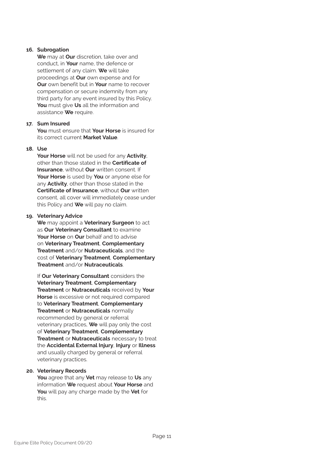#### **16. Subrogation**

**We** may at **Our** discretion, take over and conduct, in **Your** name, the defence or settlement of any claim. **We** will take proceedings at **Our** own expense and for **Our** own benefit but in **Your** name to recover compensation or secure indemnity from any third party for any event insured by this Policy. **You** must give **Us** all the information and assistance **We** require.

#### **17. Sum Insured**

**You** must ensure that **Your Horse** is insured for its correct current **Market Value**.

#### **18. Use**

**Your Horse** will not be used for any **Activity**, other than those stated in the **Certificate of Insurance**, without **Our** written consent. If **Your Horse** is used by **You** or anyone else for any **Activity**, other than those stated in the **Certificate of Insurance**, without **Our** written consent, all cover will immediately cease under this Policy and **We** will pay no claim.

#### **19. Veterinary Advice**

**We** may appoint a **Veterinary Surgeon** to act as **Our Veterinary Consultant** to examine **Your Horse** on **Our** behalf and to advise on **Veterinary Treatment**, **Complementary Treatment** and/or **Nutraceuticals**, and the cost of **Veterinary Treatment**, **Complementary Treatment** and/or **Nutraceuticals**.

If **Our Veterinary Consultant** considers the **Veterinary Treatment**, **Complementary Treatment** or **Nutraceuticals** received by **Your Horse** is excessive or not required compared to **Veterinary Treatment**, **Complementary Treatment** or **Nutraceuticals** normally recommended by general or referral veterinary practices, **We** will pay only the cost of **Veterinary Treatment**, **Complementary Treatment** or **Nutraceuticals** necessary to treat the **Accidental External Injury**, **Injury** or **Illness** and usually charged by general or referral veterinary practices.

#### **20. Veterinary Records**

**You** agree that any **Vet** may release to **Us** any information **We** request about **Your Horse** and **You** will pay any charge made by the **Vet** for this.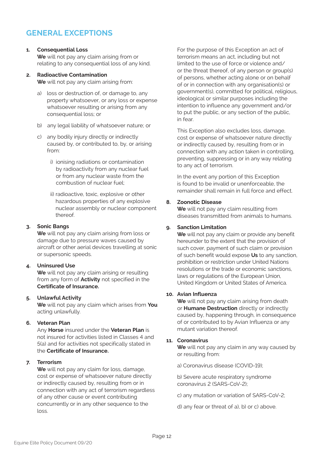### **GENERAL EXCEPTIONS**

#### **1. Consequential Loss**

**We** will not pay any claim arising from or relating to any consequential loss of any kind.

#### **2. Radioactive Contamination**

**We** will not pay any claim arising from:

- a) loss or destruction of, or damage to, any property whatsoever, or any loss or expense whatsoever resulting or arising from any consequential loss; or
- b) any legal liability of whatsoever nature; or
- c) any bodily injury directly or indirectly caused by, or contributed to, by, or arising from:
	- i) ionising radiations or contamination by radioactivity from any nuclear fuel or from any nuclear waste from the combustion of nuclear fuel;
	- ii) radioactive, toxic, explosive or other hazardous properties of any explosive nuclear assembly or nuclear component thereof.

#### **3. Sonic Bangs**

**We** will not pay any claim arising from loss or damage due to pressure waves caused by aircraft or other aerial devices travelling at sonic or supersonic speeds.

#### **4. Uninsured Use**

**We** will not pay any claim arising or resulting from any form of **Activity** not specified in the **Certificate of Insurance.**

#### **5. Unlawful Activity**

**We** will not pay any claim which arises from **You** acting unlawfully.

#### **6. Veteran Plan**

Any **Horse** insured under the **Veteran Plan** is not insured for activities listed in Classes 4 and 5(a) and for activities not specifically stated in the **Certificate of Insurance.**

#### **7. Terrorism**

**We** will not pay any claim for loss, damage, cost or expense of whatsoever nature directly or indirectly caused by, resulting from or in connection with any act of terrorism regardless of any other cause or event contributing concurrently or in any other sequence to the loss.

For the purpose of this Exception an act of terrorism means an act, including but not limited to the use of force or violence and/ or the threat thereof, of any person or group(s) of persons, whether acting alone or on behalf of or in connection with any organisation(s) or government(s), committed for political, religious, ideological or similar purposes including the intention to influence any government and/or to put the public, or any section of the public, in fear.

This Exception also excludes loss, damage, cost or expense of whatsoever nature directly or indirectly caused by, resulting from or in connection with any action taken in controlling, preventing, suppressing or in any way relating to any act of terrorism.

In the event any portion of this Exception is found to be invalid or unenforceable, the remainder shall remain in full force and effect.

#### **8. Zoonotic Disease**

**We** will not pay any claim resulting from diseases transmitted from animals to humans.

#### **9. Sanction Limitation**

**We** will not pay any claim or provide any benefit hereunder to the extent that the provision of such cover, payment of such claim or provision of such benefit would expose **Us** to any sanction, prohibition or restriction under United Nations resolutions or the trade or economic sanctions, laws or regulations of the European Union, United Kingdom or United States of America.

#### **10. Avian Influenza**

**We** will not pay any claim arising from death or **Humane Destruction** directly or indirectly caused by, happening through, in consequence of or contributed to by Avian Influenza or any mutant variation thereof.

#### **11. Coronavirus**

**We** will not pay any claim in any way caused by or resulting from:

a) Coronavirus disease (COVID-19);

b) Severe acute respiratory syndrome coronavirus 2 (SARS-CoV-2);

- c) any mutation or variation of SARS-CoV-2;
- d) any fear or threat of a), b) or c) above.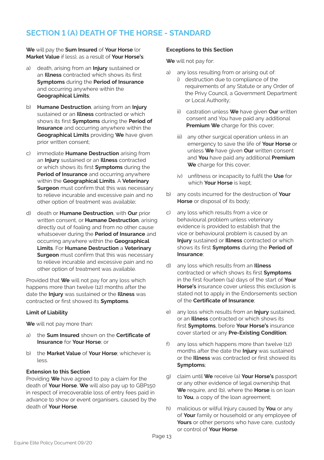### **SECTION 1 (A) DEATH OF THE HORSE - STANDARD**

**We** will pay the **Sum Insured** of **Your Horse** (or **Market Value** if less), as a result of **Your Horse's**:

- a) death, arising from an **Injury** sustained or an **Illness** contracted which shows its first **Symptoms** during the **Period of Insurance** and occurring anywhere within the **Geographical Limits**;
- b) **Humane Destruction**, arising from an **Injury** sustained or an **Illness** contracted or which shows its first **Symptoms** during the **Period of Insurance** and occurring anywhere within the **Geographical Limits** providing **We** have given prior written consent;
- c) immediate **Humane Destruction** arising from an **Injury** sustained or an **Illness** contracted or which shows its first **Symptoms** during the **Period of Insurance** and occurring anywhere within the **Geographical Limits**. A **Veterinary Surgeon** must confirm that this was necessary to relieve incurable and excessive pain and no other option of treatment was available;
- d) death or **Humane Destruction**, with **Our** prior written consent, or **Humane Destruction**, arising directly out of foaling and from no other cause whatsoever during the **Period of Insurance** and occurring anywhere within the **Geographical Limits**. For **Humane Destruction** a **Veterinary Surgeon** must confirm that this was necessary to relieve incurable and excessive pain and no other option of treatment was available.

Provided that **We** will not pay for any loss which happens more than twelve (12) months after the date the **Injury** was sustained or the **Illness** was contracted or first showed its **Symptoms**.

#### **Limit of Liability**

**We** will not pay more than:

- a) the **Sum Insured** shown on the **Certificate of Insurance** for **Your Horse**; or
- b) the **Market Value** of **Your Horse**; whichever is  $l$

#### **Extension to this Section**

Providing **We** have agreed to pay a claim for the death of **Your Horse**, **We** will also pay up to GBP150 in respect of irrecoverable loss of entry fees paid in advance to show or event organisers, caused by the death of **Your Horse**.

#### **Exceptions to this Section**

**We** will not pay for:

- a) any loss resulting from or arising out of:
	- i) destruction due to compliance of the requirements of any Statute or any Order of the Privy Council, a Government Department or Local Authority;
	- ii) castration unless **We** have given **Our** written consent and You have paid any additional **Premium We** charge for this cover;
	- iii) any other surgical operation unless in an emergency to save the life of **Your Horse** or unless **We** have given **Our** written consent and **You** have paid any additional **Premium We** charge for this cover;
	- iv) unfitness or incapacity to fulfil the **Use** for which **Your Horse** is kept;
- b) any costs incurred for the destruction of **Your Horse** or disposal of its body;
- c) any loss which results from a vice or behavioural problem unless veterinary evidence is provided to establish that the vice or behavioural problem is caused by an **Injury** sustained or **Illness** contracted or which shows its first **Symptoms** during the **Period of Insurance**;
- d) any loss which results from an **Illness** contracted or which shows its first **Symptoms** in the first fourteen (14) days of the start of **Your Horse's** insurance cover unless this exclusion is stated not to apply in the Endorsements section of the **Certificate of Insurance**;
- e) any loss which results from an **Injury** sustained, or an **Illness** contracted or which shows its first **Symptoms**, before **Your Horse's** insurance cover started or any **Pre-Existing Condition**;
- f) any loss which happens more than twelve (12) months after the date the **Injury** was sustained or the **Illness** was contracted or first showed its **Symptoms**;
- g) claim until **We** receive (a) **Your Horse's** passport or any other evidence of legal ownership that **We** require, and (b), where the **Horse** is on loan to **You**, a copy of the loan agreement;
- h) malicious or wilful Injury caused by **You** or any of **Your** family or household or any employee of **Yours** or other persons who have care, custody or control of **Your Horse**.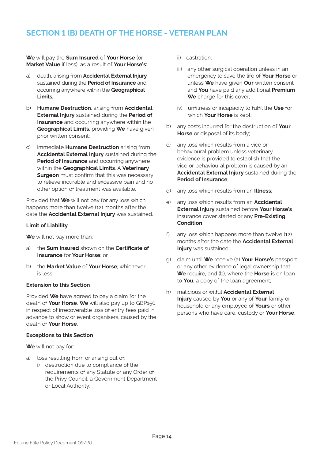### **SECTION 1 (B) DEATH OF THE HORSE - VETERAN PLAN**

**We** will pay the **Sum Insured** of **Your Horse** (or **Market Value** if less), as a result of **Your Horse's**:

- a) death, arising from **Accidental External Injury** sustained during the **Period of Insurance** and occurring anywhere within the **Geographical Limits**;
- b) **Humane Destruction**, arising from **Accidental External Injury** sustained during the **Period of Insurance** and occurring anywhere within the **Geographical Limits**, providing **We** have given prior written consent;
- c) immediate **Humane Destruction** arising from **Accidental External Injury** sustained during the **Period of Insurance** and occurring anywhere within the **Geographical Limits**. A **Veterinary Surgeon** must confirm that this was necessary to relieve incurable and excessive pain and no other option of treatment was available.

Provided that **We** will not pay for any loss which happens more than twelve (12) months after the date the **Accidental External Injury** was sustained.

#### **Limit of Liability**

**We** will not pay more than:

- a) the **Sum Insured** shown on the **Certificate of Insurance** for **Your Horse**; or
- b) the **Market Value** of **Your Horse**; whichever is less.

#### **Extension to this Section**

Provided **We** have agreed to pay a claim for the death of **Your Horse**, **We** will also pay up to GBP150 in respect of irrecoverable loss of entry fees paid in advance to show or event organisers, caused by the death of **Your Horse**.

#### **Exceptions to this Section**

**We** will not pay for:

- a) loss resulting from or arising out of:
	- i) destruction due to compliance of the requirements of any Statute or any Order of the Privy Council, a Government Department or Local Authority;
- ii) castration;
- iii) any other surgical operation unless in an emergency to save the life of **Your Horse** or unless **We** have given **Our** written consent and **You** have paid any additional **Premium** We charge for this cover:
- iv) unfitness or incapacity to fulfil the **Use** for which **Your Horse** is kept;
- b) any costs incurred for the destruction of **Your Horse** or disposal of its body;
- c) any loss which results from a vice or behavioural problem unless veterinary evidence is provided to establish that the vice or behavioural problem is caused by an **Accidental External Injury** sustained during the **Period of Insurance**;
- d) any loss which results from an **Illness**;
- e) any loss which results from an **Accidental External Injury** sustained before **Your Horse's** insurance cover started or any **Pre-Existing Condition**;
- f) any loss which happens more than twelve (12) months after the date the **Accidental External Injury** was sustained;
- g) claim until **We** receive (a) **Your Horse's** passport or any other evidence of legal ownership that **We** require, and (b), where the **Horse** is on loan to **You**, a copy of the loan agreement;
- h) malicious or wilful **Accidental External Injury** caused by **You** or any of **Your** family or household or any employee of **Yours** or other persons who have care, custody or **Your Horse**.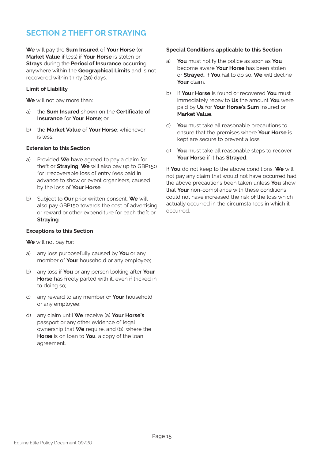### **SECTION 2 THEFT OR STRAYING**

**We** will pay the **Sum Insured** of **Your Horse** (or **Market Value** if less) if **Your Horse** is stolen or **Strays** during the **Period of Insurance** occurring anywhere within the **Geographical Limits** and is not recovered within thirty (30) days.

#### **Limit of Liability**

**We** will not pay more than:

- a) the **Sum Insured** shown on the **Certificate of Insurance** for **Your Horse**; or
- b) the **Market Value** of **Your Horse**; whichever is less.

#### **Extension to this Section**

- a) Provided **We** have agreed to pay a claim for theft or **Straying**, **We** will also pay up to GBP150 for irrecoverable loss of entry fees paid in advance to show or event organisers, caused by the loss of **Your Horse**.
- b) Subject to **Our** prior written consent, **We** will also pay GBP150 towards the cost of advertising or reward or other expenditure for each theft or **Straying**.

#### **Exceptions to this Section**

**We** will not pay for:

- a) any loss purposefully caused by **You** or any member of **Your** household or any employee;
- b) any loss if **You** or any person looking after **Your Horse** has freely parted with it, even if tricked in to doing so;
- c) any reward to any member of **Your** household or any employee;
- d) any claim until **We** receive (a) **Your Horse's** passport or any other evidence of legal ownership that **We** require, and (b), where the **Horse** is on loan to **You**, a copy of the loan agreement.

#### **Special Conditions applicable to this Section**

- a) **You** must notify the police as soon as **You** become aware **Your Horse** has been stolen or **Strayed**. If **You** fail to do so, **We** will decline **Your** claim.
- b) If **Your Horse** is found or recovered **You** must immediately repay to **Us** the amount **You** were paid by **Us** for **Your Horse's Sum** Insured or **Market Value**.
- c) **You** must take all reasonable precautions to ensure that the premises where **Your Horse** is kept are secure to prevent a loss.
- d) **You** must take all reasonable steps to recover **Your Horse** if it has **Strayed**.

If **You** do not keep to the above conditions, **We** will not pay any claim that would not have occurred had the above precautions been taken unless **You** show that **Your** non-compliance with these conditions could not have increased the risk of the loss which actually occurred in the circumstances in which it occurred.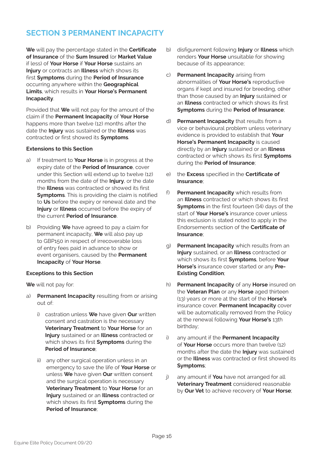### **SECTION 3 PERMANENT INCAPACITY**

**We** will pay the percentage stated in the **Certificate of Insurance** of the **Sum Insured** (or **Market Value** if less) of **Your Horse** if **Your Horse** sustains an **Injury** or contracts an **Illness** which shows its first **Symptoms** during the **Period of Insurance** occurring anywhere within the **Geographical Limits**, which results in **Your Horse's Permanent Incapacity**.

Provided that **We** will not pay for the amount of the claim if the **Permanent Incapacity** of **Your Horse** happens more than twelve (12) months after the date the **Injury** was sustained or the **Illness** was contracted or first showed its **Symptoms**.

#### **Extensions to this Section**

- a) If treatment to **Your Horse** is in progress at the expiry date of the **Period of Insurance**, cover under this Section will extend up to twelve (12) months from the date of the **Injury**, or the date the **Illness** was contracted or showed its first **Symptoms**. This is providing the claim is notified to **Us** before the expiry or renewal date and the **Injury** or **Illness** occurred before the expiry of the current **Period of Insurance**.
- b) Providing **We** have agreed to pay a claim for permanent incapacity, **We** will also pay up to GBP150 in respect of irrecoverable loss of entry fees paid in advance to show or event organisers, caused by the **Permanent Incapacity** of **Your Horse**.

#### **Exceptions to this Section**

**We** will not pay for:

- a) **Permanent Incapacity** resulting from or arising out of:
	- i) castration unless **We** have given **Our** written consent and castration is the necessary **Veterinary Treatment** to **Your Horse** for an **Injury** sustained or an **Illness** contracted or which shows its first **Symptoms** during the **Period of Insurance**;
	- ii) any other surgical operation unless in an emergency to save the life of **Your Horse** or unless **We** have given **Our** written consent and the surgical operation is necessary **Veterinary Treatment** to **Your Horse** for an **Injury** sustained or an **Illness** contracted or which shows its first **Symptoms** during the **Period of Insurance**;
- b) disfigurement following **Injury** or **Illness** which renders **Your Horse** unsuitable for showing because of its appearance;
- c) **Permanent Incapacity** arising from abnormalities of **Your Horse's** reproductive organs if kept and insured for breeding, other than those caused by an **Injury** sustained or an **Illness** contracted or which shows its first **Symptoms** during the **Period of Insurance**;
- d) **Permanent Incapacity** that results from a vice or behavioural problem unless veterinary evidence is provided to establish that **Your Horse's Permanent Incapacity** is caused directly by an **Injury** sustained or an **Illness** contracted or which shows its first **Symptoms** during the **Period of Insurance**;
- e) the **Excess** specified in the **Certificate of Insurance**;
- f) **Permanent Incapacity** which results from an **Illness** contracted or which shows its first **Symptoms** in the first fourteen (14) days of the start of **Your Horse's** insurance cover unless this exclusion is stated noted to apply in the Endorsements section of the **Certificate of Insurance**;
- g) **Permanent Incapacity** which results from an **Injury** sustained, or an **Illness** contracted or which shows its first **Symptoms**, before **Your Horse's** insurance cover started or any **Pre-Existing Condition**;
- h) **Permanent Incapacity** of any **Horse** insured on the **Veteran Plan** or any **Horse** aged thirteen (13) years or more at the start of the **Horse's** insurance cover. **Permanent Incapacity** cover will be automatically removed from the Policy at the renewal following **Your Horse's** 13th birthday;
- any amount if the **Permanent Incapacity** of **Your Horse** occurs more than twelve (12) months after the date the **Injury** was sustained or the **Illness** was contracted or first showed its **Symptoms**;
- j) any amount if **You** have not arranged for all **Veterinary Treatment** considered reasonable by **Our Vet** to achieve recovery of **Your Horse**;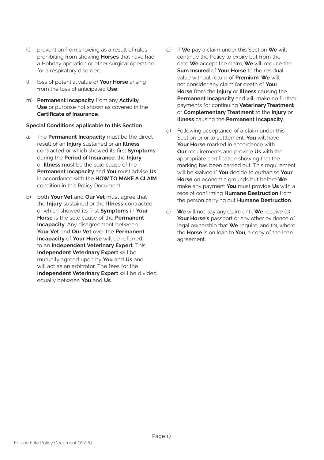- k) prevention from showing as a result of rules prohibiting from showing **Horses** that have had a Hobday operation or other surgical operation for a respiratory disorder;
- l) loss of potential value of **Your Horse** arising from the loss of anticipated **Use**;
- m) **Permanent Incapacity** from any **Activity**, **Use** or purpose not shown as covered in the **Certificate of Insurance**.

#### **Special Conditions applicable to this Section**

- a) The **Permanent Incapacity** must be the direct result of an **Injury** sustained or an **Illness** contracted or which showed its first **Symptoms** during the **Period of Insurance**, the **Injury** or **Illness** must be the sole cause of the **Permanent Incapacity** and **You** must advise **Us** in accordance with the **HOW TO MAKE A CLAIM** condition in this Policy Document.
- b) Both **Your Vet** and **Our Vet** must agree that the **Injury** sustained or the **Illness** contracted or which showed its first **Symptoms** in **Your Horse** is the sole cause of the **Permanent Incapacity**. Any disagreement between **Your Vet** and **Our Vet** over the **Permanent Incapacity** of **Your Horse** will be referred to an **Independent Veterinary Expert**. This **Independent Veterinary Expert** will be mutually agreed upon by **You** and **Us** and will act as an arbitrator. The fees for the **Independent Veterinary Expert** will be divided equally between **You** and **Us**.
- c) If **We** pay a claim under this Section **We** will continue the Policy to expiry but from the date **We** accept the claim, **We** will reduce the **Sum Insured** of **Your Horse** to the residual value without return of **Premium**. **We** will not consider any claim for death of **Your Horse** from the **Injury** or **Illness** causing the **Permanent Incapacity** and will make no further payments for continuing **Veterinary Treatment** or **Complementary Treatment** to the **Injury** or **Illness** causing the **Permanent Incapacity**.
- d) Following acceptance of a claim under this Section prior to settlement, **You** will have **Your Horse** marked in accordance with **Our** requirements and provide **Us** with the appropriate certification showing that the marking has been carried out. This requirement will be waived if **You** decide to euthanise **Your Horse** on economic grounds but before **We** make any payment **You** must provide **Us** with a receipt confirming **Humane Destruction** from the person carrying out **Humane Destruction**.
- e) **We** will not pay any claim until **We** receive (a) **Your Horse's** passport or any other evidence of legal ownership that **We** require, and (b), where the **Horse** is on loan to **You**, a copy of the loan agreement.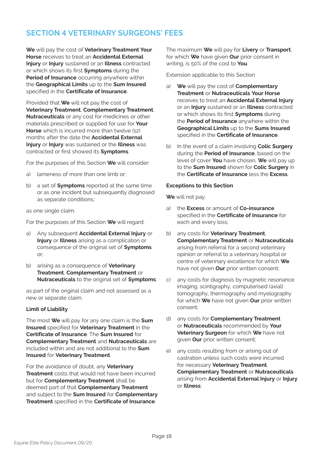### **SECTION 4 VETERINARY SURGEONS' FEES**

**We** will pay the cost of **Veterinary Treatment Your Horse** receives to treat an **Accidental External Injury** or **Injury** sustained or an **Illness** contracted or which shows its first **Symptoms** during the **Period of Insurance** occurring anywhere within the **Geographical Limits** up to the **Sum Insured** specified in the **Certificate of Insurance**.

Provided that **We** will not pay the cost of **Veterinary Treatment**, **Complementary Treatment**, **Nutraceuticals** or any cost for medicines or other materials prescribed or supplied for use for **Your Horse** which is incurred more than twelve (12) months after the date the **Accidental External Injury** or **Injury** was sustained or the **Illness** was contracted or first showed its **Symptoms**.

For the purposes of this Section **We** will consider:

- a) lameness of more than one limb or;
- b) a set of **Symptoms** reported at the same time or as one incident but subsequently diagnosed as separate conditions;

as one single claim.

For the purposes of this Section **We** will regard:

- a) Any subsequent **Accidental External Injury** or **Injury** or **Illness** arising as a complication or consequence of the original set of **Symptoms** or;
- b) arising as a consequence of **Veterinary Treatment**, **Complementary Treatment** or **Nutraceuticals** to the original set of **Symptoms**;

as part of the original claim and not assessed as a new or separate claim.

#### **Limit of Liability**

The most **We** will pay for any one claim is the **Sum Insured** specified for **Veterinary Treatment** in the **Certificate of Insurance**. The **Sum Insured** for **Complementary Treatment** and **Nutraceuticals** are included within and are not additional to the **Sum Insured** for **Veterinary Treatment**.

For the avoidance of doubt, any **Veterinary Treatment** costs that would not have been incurred but for **Complementary Treatment** shall be deemed part of that **Complementary Treatment** and subject to the **Sum Insured** for **Complementary Treatment** specified in the **Certificate of Insurance**.

The maximum **We** will pay for **Livery** or **Transport**, for which **We** have given **Our** prior consent in writing, is 50% of the cost to **You**.

Extension applicable to this Section

- a) **We** will pay the cost of **Complementary Treatment** or **Nutraceuticals Your Horse** receives to treat an **Accidental External Injury** or an **Injury** sustained or an **Illness** contracted or which shows its first **Symptoms** during the **Period of Insurance** anywhere within the **Geographical Limits** up to the **Sums Insured** specified in the **Certificate of Insurance**.
- b) In the event of a claim involving **Colic Surgery** during the **Period of Insurance**, based on the level of cover **You** have chosen, **We** will pay up to the **Sum Insured** shown for **Colic Surgery** in the **Certificate of Insurance** less the **Excess**.

#### **Exceptions to this Section**

**We** will not pay:

- a) the **Excess** or amount of **Co-insurance** specified in the **Certificate of Insurance** for each and every loss;
- b) any costs for **Veterinary Treatment**, **Complementary Treatment** or **Nutraceuticals** arising from referral for a second veterinary opinion or referral to a veterinary hospital or centre of veterinary excellence for which **We** have not given **Our** prior written consent;
- c) any costs for diagnosis by magnetic resonance imaging, scintigraphy, computerised (axial) tomography, thermography and myelography for which **We** have not given **Our** prior written consent;
- d) any costs for **Complementary Treatment** or **Nutraceuticals** recommended by **Your Veterinary Surgeon** for which **We** have not given **Our** prior written consent;
- e) any costs resulting from or arising out of castration unless such costs were incurred for necessary **Veterinary Treatment**, **Complementary Treatment** or **Nutraceuticals** arising from **Accidental External Injury** or **Injury** or **Illness**;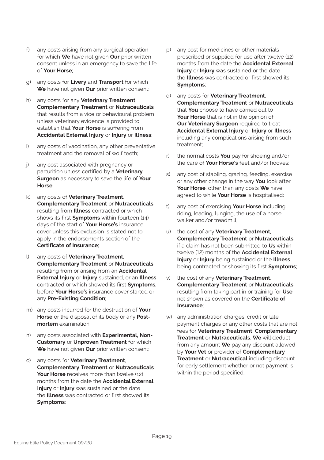- f) any costs arising from any surgical operation for which **We** have not given **Our** prior written consent unless in an emergency to save the life of **Your Horse**;
- g) any costs for **Livery** and **Transport** for which **We** have not given **Our** prior written consent;
- h) any costs for any **Veterinary Treatment**, **Complementary Treatment** or **Nutraceuticals** that results from a vice or behavioural problem unless veterinary evidence is provided to establish that **Your Horse** is suffering from **Accidental External Injury** or **Injury** or **Illness**;
- i) any costs of vaccination, any other preventative treatment and the removal of wolf teeth;
- j) any cost associated with pregnancy or parturition unless certified by a **Veterinary Surgeon** as necessary to save the life of **Your Horse**;
- k) any costs of **Veterinary Treatment**, **Complementary Treatment** or **Nutraceuticals** resulting from **Illness** contracted or which shows its first **Symptoms** within fourteen (14) days of the start of **Your Horse's** insurance cover unless this exclusion is stated not to apply in the endorsements section of the **Certificate of Insurance**;
- l) any costs of **Veterinary Treatment**, **Complementary Treatment** or **Nutraceuticals** resulting from or arising from an **Accidental External Injury** or **Injury** sustained, or an **Illness** contracted or which showed its first **Symptoms**, before **Your Horse's** insurance cover started or any **Pre-Existing Condition**;
- m) any costs incurred for the destruction of **Your Horse** or the disposal of its body or any **Postmortem** examination;
- n) any costs associated with **Experimental, Non-Customary** or **Unproven Treatment** for which **We** have not given **Our** prior written consent;
- o) any costs for **Veterinary Treatment**, **Complementary Treatment** or **Nutraceuticals Your Horse** receives more than twelve (12) months from the date the **Accidental External Injury** or **Injury** was sustained or the date the **Illness** was contracted or first showed its **Symptoms**;
- p) any cost for medicines or other materials prescribed or supplied for use after twelve (12) months from the date the **Accidental External Injury** or **Injury** was sustained or the date the **Illness** was contracted or first showed its **Symptoms**;
- q) any costs for **Veterinary Treatment**, **Complementary Treatment** or **Nutraceuticals** that **You** choose to have carried out to **Your Horse** that is not in the opinion of **Our Veterinary Surgeon** required to treat **Accidental External Injury** or **Injury** or **Illness** including any complications arising from such treatment;
- r) the normal costs **You** pay for shoeing and/or the care of **Your Horse's** feet and/or hooves;
- s) any cost of stabling, grazing, feeding, exercise or any other change in the way **You** look after **Your Horse**, other than any costs **We** have agreed to while **Your Horse** is hospitalised;
- t) any cost of exercising **Your Horse** including riding, leading, lunging, the use of a horse walker and/or treadmill;
- u) the cost of any **Veterinary Treatment**, **Complementary Treatment** or **Nutraceuticals** if a claim has not been submitted to **Us** within twelve (12) months of the **Accidental External Injury** or **Injury** being sustained or the **Illness** being contracted or showing its first **Symptoms**;
- v) the cost of any **Veterinary Treatment**, **Complementary Treatment** or **Nutraceuticals** resulting from taking part in or training for **Use** not shown as covered on the **Certificate of Insurance**;
- w) any administration charges, credit or late payment charges or any other costs that are not fees for **Veterinary Treatment**, **Complementary Treatment** or **Nutraceuticals**. **We** will deduct from any amount **We** pay any discount allowed by **Your Vet** or provider of **Complementary Treatment** or **Nutraceutical** including discount for early settlement whether or not payment is within the period specified.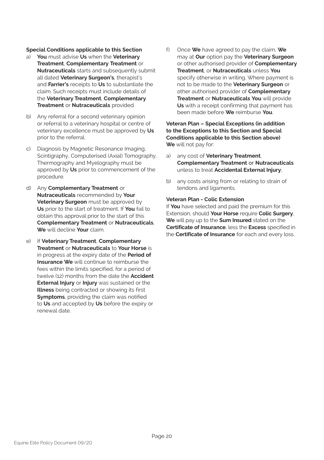#### **Special Conditions applicable to this Section**

- a) **You** must advise **Us** when the **Veterinary Treatment**, **Complementary Treatment** or **Nutraceuticals** starts and subsequently submit all dated **Veterinary Surgeon's**, therapist's and **Farrier's** receipts to **Us** to substantiate the claim. Such receipts must include details of the **Veterinary Treatment**, **Complementary Treatment** or **Nutraceuticals** provided.
- b) Any referral for a second veterinary opinion or referral to a veterinary hospital or centre of veterinary excellence must be approved by **Us** prior to the referral.
- c) Diagnosis by Magnetic Resonance Imaging, Scintigraphy, Computerised (Axial) Tomography, Thermography and Myelography must be approved by **Us** prior to commencement of the procedure.
- d) Any **Complementary Treatment** or **Nutraceuticals** recommended by **Your Veterinary Surgeon** must be approved by **Us** prior to the start of treatment. If **You** fail to obtain this approval prior to the start of this **Complementary Treatment** or **Nutraceuticals**, **We** will decline **Your** claim.
- e) If **Veterinary Treatment**, **Complementary Treatment** or **Nutraceuticals** to **Your Horse** is in progress at the expiry date of the **Period of Insurance We** will continue to reimburse the fees within the limits specified, for a period of twelve (12) months from the date the **Accident External Injury** or **Injury** was sustained or the **Illness** being contracted or showing its first **Symptoms**, providing the claim was notified to **Us** and accepted by **Us** before the expiry or renewal date.

f) Once **We** have agreed to pay the claim, **We** may at **Our** option pay the **Veterinary Surgeon** or other authorised provider of **Complementary Treatment**, or **Nutraceuticals** unless **You** specify otherwise in writing. Where payment is not to be made to the **Veterinary Surgeon** or other authorised provider of **Complementary Treatment** or **Nutraceuticals You** will provide **Us** with a receipt confirming that payment has been made before **We** reimburse **You**.

#### **Veteran Plan – Special Exceptions (in addition to the Exceptions to this Section and Special Conditions applicable to this Section above) We** will not pay for:

- a) any cost of **Veterinary Treatment**, **Complementary Treatment** or **Nutraceuticals**  unless to treat **Accidental External Injury**;
- b) any costs arising from or relating to strain of tendons and ligaments.

#### **Veteran Plan - Colic Extension**

If **You** have selected and paid the premium for this Extension, should **Your Horse** require **Colic Surgery**, **We** will pay up to the **Sum Insured** stated on the **Certificate of Insurance**, less the **Excess** specified in the **Certificate of Insurance** for each and every loss.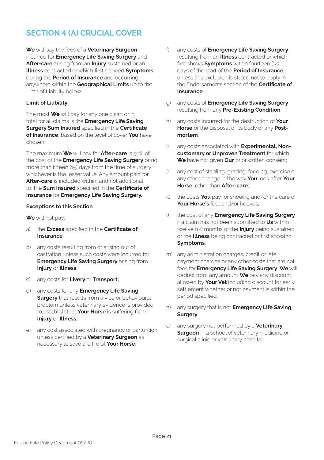### **SECTION 4 (A) CRUCIAL COVER**

**We** will pay the fees of a **Veterinary Surgeon** incurred for **Emergency Life Saving Surgery** and **After-care** arising from an **Injury** sustained or an **Illness** contracted or which first showed **Symptoms** during the **Period of Insurance** and occurring anywhere within the **Geographical Limits** up to the Limit of Liability below.

#### **Limit of Liability**

The most **We** will pay for any one claim or in total for all claims is the **Emergency Life Saving Surgery Sum Insured** specified in the **Certificate of Insurance**, based on the level of cover **You** have chosen.

The maximum **We** will pay for **After-care** is 50% of the cost of the **Emergency Life Saving Surgery** or no more than fifteen (15) days from the time of surgery, whichever is the lesser value. Any amount paid for **After-care** is included within, and not additional to, the **Sum Insured** specified in the **Certificate of Insurance** for **Emergency Life Saving Surgery.**

#### **Exceptions to this Section**

**We** will not pay:

- a) the **Excess** specified in the **Certificate of Insurance**;
- b) any costs resulting from or arising out of castration unless such costs were incurred for **Emergency Life Saving Surgery** arising from **Injury** or **Illness**;
- c) any costs for **Livery** or **Transport;**
- d) any costs for any **Emergency Life Saving Surgery** that results from a vice or behavioural problem unless veterinary evidence is provided to establish that **Your Horse** is suffering from **Injury** or **Illness**;
- e) any cost associated with pregnancy or parturition unless certified by a **Veterinary Surgeon** as necessary to save the life of **Your Horse**;
- f) any costs of **Emergency Life Saving Surgery** resulting from an **Illness** contracted or which first shows **Symptoms** within fourteen (14) days of the start of the **Period of Insurance** unless this exclusion is stated not to apply in the Endorsements section of the **Certificate of Insurance**;
- g) any costs of **Emergency Life Saving Surgery** resulting from any **Pre-Existing Condition**;
- h) any costs incurred for the destruction of **Your Horse** or the disposal of its body or any **Postmortem**;
- i) any costs associated with **Experimental, Noncustomary or Unproven Treatment** for which **We** have not given **Our** prior written consent;
- j) any cost of stabling, grazing, feeding, exercise or any other change in the way **You** look after **Your Horse**, other than **After-care**;
- k) the costs **You** pay for shoeing and/or the care of **Your Horse's** feet and/or hooves;
- l) the cost of any **Emergency Life Saving Surgery** if a claim has not been submitted to **Us** within twelve (12) months of the **Injury** being sustained or the **Illness** being contracted or first showing **Symptoms**;
- m) any administration charges, credit or late payment charges or any other costs that are not fees for **Emergency Life Saving Surgery**. **We** will deduct from any amount **We** pay any discount allowed by **Your Vet** including discount for early settlement whether or not payment is within the period specified;
- n) any surgery that is not **Emergency Life Saving Surgery**;
- o) any surgery not performed by a **Veterinary Surgeon** in a school of veterinary medicine or surgical clinic or veterinary hospital;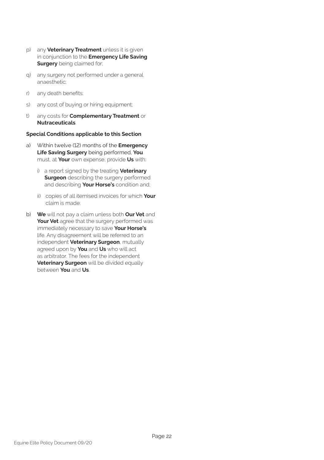- p) any **Veterinary Treatment** unless it is given in conjunction to the **Emergency Life Saving Surgery** being claimed for;
- q) any surgery not performed under a general anaesthetic;
- r) any death benefits;
- s) any cost of buying or hiring equipment;
- t) any costs for **Complementary Treatment** or **Nutraceuticals**.

#### **Special Conditions applicable to this Section**

- a) Within twelve (12) months of the **Emergency Life Saving Surgery** being performed, **You** must, at **Your** own expense, provide **Us** with:
	- i) a report signed by the treating **Veterinary Surgeon** describing the surgery performed and describing **Your Horse's** condition and;
	- ii) copies of all itemised invoices for which **Your**  claim is made.
- b) **We** will not pay a claim unless both **Our Vet** and **Your Vet** agree that the surgery performed was immediately necessary to save **Your Horse's** life. Any disagreement will be referred to an independent **Veterinary Surgeon**, mutually agreed upon by **You** and **Us** who will act as arbitrator. The fees for the independent **Veterinary Surgeon** will be divided equally between **You** and **Us**.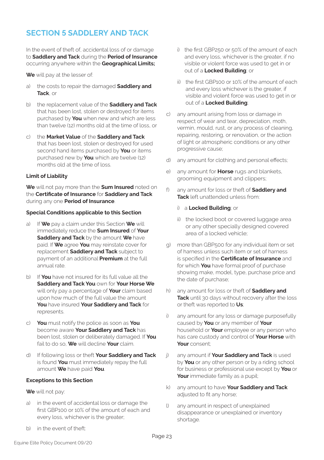### **SECTION 5 SADDLERY AND TACK**

In the event of theft of, accidental loss of or damage to **Saddlery and Tack** during the **Period of Insurance**  occurring anywhere within the **Geographical Limits;** 

**We** will pay at the lesser of:

- a) the costs to repair the damaged **Saddlery and Tack**, or
- b) the replacement value of the **Saddlery and Tack**  that has been lost, stolen or destroyed for items purchased by **You** when new and which are less than twelve (12) months old at the time of loss, or
- c) the **Market Value** of the **Saddlery and Tack**  that has been lost, stolen or destroyed for used second hand items purchased by **You** or items purchased new by **You** which are twelve (12) months old at the time of loss.

#### **Limit of Liability**

**We** will not pay more than the **Sum Insured** noted on the **Certificate of Insurance** for **Saddlery and Tack**  during any one **Period of Insurance**.

#### **Special Conditions applicable to this Section**

- a) If **We** pay a claim under this Section **We** will immediately reduce the **Sum Insured** of **Your Saddlery and Tack** by the amount **We** have paid. If **We** agree **You** may reinstate cover for replacement **Saddlery and Tack** subject to payment of an additional **Premium** at the full annual rate.
- b) If **You** have not insured for its full value all the **Saddlery and Tack You** own for **Your Horse We**  will only pay a percentage of **Your** claim based upon how much of the full value the amount **You** have insured **Your Saddlery and Tack** for represents.
- c) **You** must notify the police as soon as **You**  become aware **Your Saddlery and Tack** has been lost, stolen or deliberately damaged. If **You**  fail to do so, **We** will decline **Your** claim.
- d) If following loss or theft **Your Saddlery and Tack**  is found **You** must immediately repay the full amount **We** have paid **You**.

#### **Exceptions to this Section**

**We** will not pay:

- a) in the event of accidental loss or damage the first GBP100 or 10% of the amount of each and every loss, whichever is the greater;
- b) in the event of theft:
- i) the first GBP250 or 50% of the amount of each and every loss, whichever is the greater, if no visible or violent force was used to get in or out of a **Locked Building**; or
- ii) the first GBP100 or 10% of the amount of each and every loss whichever is the greater, if visible and violent force was used to get in or out of a **Locked Building**;
- c) any amount arising from loss or damage in respect of wear and tear, depreciation, moth, vermin, mould, rust, or any process of cleaning, repairing, restoring, or renovation, or the action of light or atmospheric conditions or any other progressive cause;
- d) any amount for clothing and personal effects;
- e) any amount for **Horse** rugs and blankets, grooming equipment and clippers;
- f) any amount for loss or theft of **Saddlery and Tack** left unattended unless from:
	- i) a **Locked Building**; or
	- ii) the locked boot or covered luggage area or any other specially designed covered area of a locked vehicle;
- g) more than GBP500 for any individual item or set of harness unless such item or set of harness is specified in the **Certificate of Insurance** and for which **You** have formal proof of purchase showing make, model, type, purchase price and the date of purchase;
- h) any amount for loss or theft of **Saddlery and Tack** until 30 days without recovery after the loss or theft was reported to **Us**;
- i) any amount for any loss or damage purposefully caused by **You** or any member of **Your**  household or **Your** employee or any person who has care custody and control of **Your Horse** with **Your** consent;
- j) any amount if **Your Saddlery and Tack** is used by **You** or any other person or by a riding school for business or professional use except by **You** or **Your** immediate family as a pupil;
- k) any amount to have **Your Saddlery and Tack**  adjusted to fit any horse;
- l) any amount in respect of unexplained disappearance or unexplained or inventory shortage.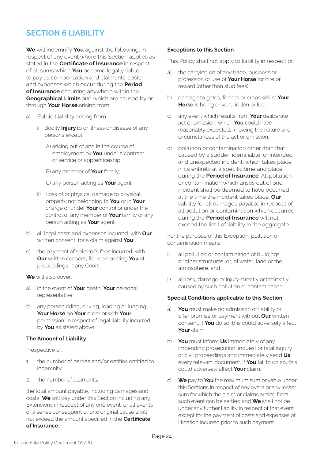### **SECTION 6 LIABILITY**

**We** will indemnify **You** against the following, in respect of any event where this Section applies as stated in the **Certificate of Insurance** in respect of all sums which **You** become legally liable to pay as compensation and claimants' costs and expenses which occur during the **Period of Insurance** occurring anywhere within the **Geographical Limits** and which are caused by or through **Your Horse** arising from:

- a) Public Liability arising from
	- i) Bodily **Injury** to or illness or disease of any persons except:
		- A) arising out of and in the course of employment by **You** under a contract of service or apprenticeship;

B) any member of **Your** family;

C) any person acting as **Your** agent.

- ii) Loss of or physical damage to physical property not belonging to **You** or in **Your**  charge or under **Your** control or under the control of any member of **Your** family or any person acting as **Your** agent.
- b) all legal costs and expenses incurred, with **Our**  written consent, for a claim against **You**;
- c) the payment of solicitor's fees incurred, with **Our** written consent, for representing **You** at proceedings in any Court.
- **We** will also cover:
- a) in the event of **Your** death, **Your** personal representative;
- b) any person riding, driving, leading or lunging **Your Horse** on **Your** order or with **Your**  permission; in respect of legal liability incurred by **You** as stated above.

#### **The Amount of Liability**

Irrespective of:

- 1. the number of parties and/or entities entitled to indemnity;
- 2. the number of claimants;

the total amount payable, including damages and costs, **We** will pay under this Section including any Extensions in respect of any one event, or all events of a series consequent of one original cause shall not exceed the amount specified in the **Certificate of Insurance**.

#### **Exceptions to this Section**

This Policy shall not apply to liability in respect of:

- the carrying on of any trade, business or profession or use of **Your Horse** for hire or reward (other than stud fees);
- b) damage to gates, fences or crops whilst **Your Horse** is being driven, ridden or led;
- c) any event which results from **Your** deliberate act or omission, which **You** could have reasonably expected, knowing the nature and circumstances of the act or omission;
- d) pollution or contamination other than that caused by a sudden identifiable, unintended and unexpected incident, which takes place in its entirety at a specific time and place during the **Period of Insurance**. All pollution or contamination which arises out of one incident shall be deemed to have occurred at the time the incident takes place. **Our**  liability for all damages payable in respect of all pollution or contamination which occurred during the **Period of Insurance** will not exceed the limit of liability in the aggregate.

For the purpose of this Exception, pollution or contamination means:

- i) all pollution or contamination of buildings or other structures, or, of water, land or the atmosphere, and
- ii) all loss, damage or injury directly or indirectly caused by such pollution or contamination.

#### **Special Conditions applicable to this Section**

- a) **You** must make no admission of liability or offer promise or payment without **Our** written consent. If **You** do so, this could adversely affect **Your** claim.
- b) **You** must inform **Us** immediately of any impending prosecution, inquest or fatal inquiry or civil proceedings and immediately send **Us**  every relevant document. If **You** fail to do so, this could adversely affect **Your** claim.
- c) **We** pay to **You** the maximum sum payable under this Sections in respect of any event or any lesser sum for which the claim or claims arising from such event can be settled and **We** shall not be under any further liability in respect of that event except for the payment of costs and expenses of litigation incurred prior to such payment.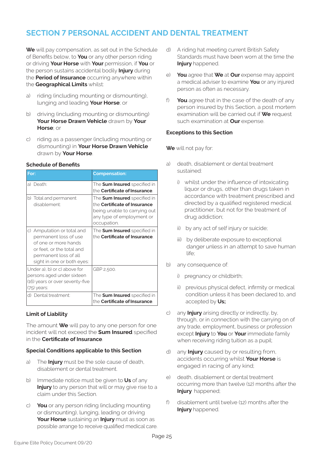### **SECTION 7 PERSONAL ACCIDENT AND DENTAL TREATMENT**

**We** will pay compensation, as set out in the Schedule of Benefits below, to **You** or any other person riding or driving **Your Horse** with **Your** permission, if **You** or the person sustains accidental bodily **Injury** during the **Period of Insurance** occurring anywhere within the **Geographical Limits** whilst:

- a) riding (including mounting or dismounting), lunging and leading **Your Horse**; or
- b) driving (including mounting or dismounting) **Your Horse Drawn Vehicle** drawn by **Your Horse**; or
- c) riding as a passenger (including mounting or dismounting) in **Your Horse Drawn Vehicle**  drawn by **Your Horse**.

#### **Schedule of Benefits**

| For:                                                                                                                                                            | <b>Compensation:</b>                                                                                                                                   |
|-----------------------------------------------------------------------------------------------------------------------------------------------------------------|--------------------------------------------------------------------------------------------------------------------------------------------------------|
| a) Death:                                                                                                                                                       | The <b>Sum Insured</b> specified in<br>the Certificate of Insurance.                                                                                   |
| b) Total and permanent<br>disablement:                                                                                                                          | The <b>Sum Insured</b> specified in<br>the <b>Certificate of Insurance</b><br>being unable to carrying out<br>any type of employment or<br>occupation. |
| c) Amputation or total and<br>permanent loss of use<br>of one or more hands<br>or feet, or the total and<br>permanent loss of all<br>sight in one or both eyes: | The <b>Sum Insured</b> specified in<br>the Certificate of Insurance.                                                                                   |
| Under a), b) or c) above for<br>persons aged under sixteen<br>(16) years or over seventy-five<br>(75) years:                                                    | GBP 2,500.                                                                                                                                             |
| d) Dental treatment:                                                                                                                                            | The Sum Insured specified in<br>the Certificate of Insurance.                                                                                          |

#### **Limit of Liability**

The amount **We** will pay to any one person for one incident will not exceed the **Sum Insured** specified in the **Certificate of Insurance**.

#### **Special Conditions applicable to this Section**

- a) The **Injury** must be the sole cause of death, disablement or dental treatment.
- b) Immediate notice must be given to **Us** of any **Injury** to any person that will or may give rise to a claim under this Section.
- c) **You** or any person riding (including mounting or dismounting), lunging, leading or driving **Your Horse** sustaining an **Injury** must as soon as possible arrange to receive qualified medical care.
- d) A riding hat meeting current British Safety Standards must have been worn at the time the **Injury** happened.
- e) **You** agree that **We** at **Our** expense may appoint a medical adviser to examine **You** or any injured person as often as necessary.
- f) **You** agree that in the case of the death of any person insured by this Section, a post mortem examination will be carried out if **We** request such examination at **Our** expense.

#### **Exceptions to this Section**

**We** will not pay for:

- a) death, disablement or dental treatment sustained:
	- i) whilst under the influence of intoxicating liquor or drugs, other than drugs taken in accordance with treatment prescribed and directed by a qualified registered medical practitioner, but not for the treatment of drug addiction;
	- ii) by any act of self injury or suicide;
	- iii) by deliberate exposure to exceptional danger unless in an attempt to save human life;
- b) any consequence of:
	- i) pregnancy or childbirth;
	- ii) previous physical defect, infirmity or medical condition unless it has been declared to, and accepted by **Us;**
- c) any **Injury** arising directly or indirectly, by, through, or in connection with the carrying on of any trade, employment, business or profession except **Injury** to **You** or **Your** immediate family when receiving riding tuition as a pupil;
- d) any **Injury** caused by or resulting from, accidents occurring whilst **Your Horse** is engaged in racing of any kind;
- e) death, disablement or dental treatment occurring more than twelve (12) months after the **Injury** happened;
- f) disablement until twelve (12) months after the **Injury** happened.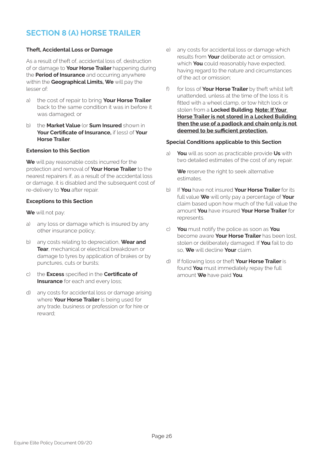### **SECTION 8 (A) HORSE TRAILER**

#### **Theft, Accidental Loss or Damage**

As a result of theft of, accidental loss of, destruction of or damage to **Your Horse Trailer** happening during the **Period of Insurance** and occurring anywhere within the **Geographical Limits, We** will pay the lesser of:

- a) the cost of repair to bring **Your Horse Trailer**  back to the same condition it was in before it was damaged; or
- b) the **Market Value** (or **Sum Insured** shown in **Your Certificate of Insurance,** if less) of **Your Horse Trailer**.

#### **Extension to this Section**

**We** will pay reasonable costs incurred for the protection and removal of **Your Horse Trailer** to the nearest repairers if, as a result of the accidental loss or damage, it is disabled and the subsequent cost of re-delivery to **You** after repair.

#### **Exceptions to this Section**

**We** will not pay:

- a) any loss or damage which is insured by any other insurance policy;
- b) any costs relating to depreciation, **Wear and Tear**, mechanical or electrical breakdown or damage to tyres by application of brakes or by punctures, cuts or bursts;
- c) the **Excess** specified in the **Certificate of Insurance** for each and every loss;
- d) any costs for accidental loss or damage arising where **Your Horse Trailer** is being used for any trade, business or profession or for hire or reward;
- e) any costs for accidental loss or damage which results from **Your** deliberate act or omission, which **You** could reasonably have expected, having regard to the nature and circumstances of the act or omission;
- f) for loss of **Your Horse Trailer** by theft whilst left unattended, unless at the time of the loss it is fitted with a wheel clamp, or tow hitch lock or stolen from a **Locked Building**. **Note: If Your Horse Trailer is not stored in a Locked Building then the use of a padlock and chain only is not deemed to be sufficient protection.**

#### **Special Conditions applicable to this Section**

a) **You** will as soon as practicable provide **Us** with two detailed estimates of the cost of any repair.

**We** reserve the right to seek alternative estimates.

- b) If **You** have not insured **Your Horse Trailer** for its full value **We** will only pay a percentage of **Your**  claim based upon how much of the full value the amount **You** have insured **Your Horse Trailer** for represents.
- c) **You** must notify the police as soon as **You**  become aware **Your Horse Trailer** has been lost, stolen or deliberately damaged. If **You** fail to do so, **We** will decline **Your** claim.
- d) If following loss or theft **Your Horse Trailer** is found **You** must immediately repay the full amount **We** have paid **You**.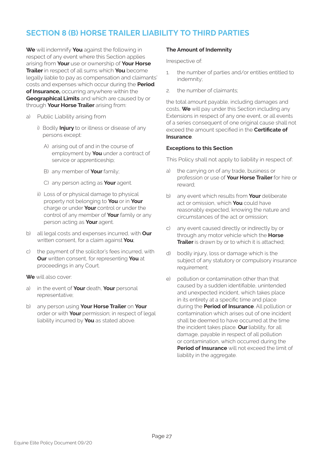### **SECTION 8 (B) HORSE TRAILER LIABILITY TO THIRD PARTIES**

**We** will indemnify **You** against the following in respect of any event where this Section applies arising from **Your** use or ownership of **Your Horse Trailer** in respect of all sums which **You** become legally liable to pay as compensation and claimants' costs and expenses which occur during the **Period of Insurance,** occurring anywhere within the **Geographical Limits** and which are caused by or through **Your Horse Trailer** arising from:

- a) Public Liability arising from
	- i) Bodily **Injury** to or illness or disease of any persons except:
		- A) arising out of and in the course of employment by **You** under a contract of service or apprenticeship;
		- B) any member of **Your** family;
		- C) any person acting as **Your** agent.
	- ii) Loss of or physical damage to physical property not belonging to **You** or in **Your**  charge or under **Your** control or under the control of any member of **Your** family or any person acting as **Your** agent.
- b) all legal costs and expenses incurred, with **Our**  written consent, for a claim against **You**;
- c) the payment of the solicitor's fees incurred, with **Our** written consent, for representing **You** at proceedings in any Court.
- **We** will also cover:
- a) in the event of **Your** death, **Your** personal representative;
- b) any person using **Your Horse Trailer** on **Your**  order or with **Your** permission; in respect of legal liability incurred by **You** as stated above.

#### **The Amount of Indemnity**

Irrespective of:

- 1. the number of parties and/or entities entitled to indemnity;
- 2. the number of claimants;

the total amount payable, including damages and costs, **We** will pay under this Section including any Extensions in respect of any one event, or all events of a series consequent of one original cause shall not exceed the amount specified in the **Certificate of Insurance**.

#### **Exceptions to this Section**

This Policy shall not apply to liability in respect of:

- a) the carrying on of any trade, business or profession or use of **Your Horse Trailer** for hire or reward;
- b) any event which results from **Your** deliberate act or omission, which **You** could have reasonably expected, knowing the nature and circumstances of the act or omission;
- c) any event caused directly or indirectly by or through any motor vehicle which the **Horse Trailer** is drawn by or to which it is attached;
- d) bodily injury, loss or damage which is the subject of any statutory or compulsory insurance requirement;
- e) pollution or contamination other than that caused by a sudden identifiable, unintended and unexpected incident, which takes place in its entirety at a specific time and place during the **Period of Insurance**. All pollution or contamination which arises out of one incident shall be deemed to have occurred at the time the incident takes place. **Our** liability, for all damage, payable in respect of all pollution or contamination, which occurred during the **Period of Insurance** will not exceed the limit of liability in the aggregate.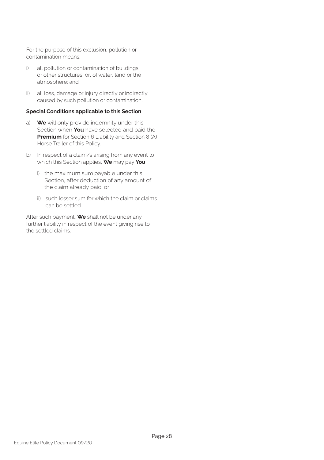For the purpose of this exclusion, pollution or contamination means:

- i) all pollution or contamination of buildings or other structures, or, of water, land or the atmosphere; and
- ii) all loss, damage or injury directly or indirectly caused by such pollution or contamination.

#### **Special Conditions applicable to this Section**

- a) **We** will only provide indemnity under this Section when **You** have selected and paid the **Premium** for Section 6 Liability and Section 8 (A) Horse Trailer of this Policy.
- b) In respect of a claim/s arising from any event to which this Section applies, **We** may pay **You**
	- i) the maximum sum payable under this Section, after deduction of any amount of the claim already paid; or
	- ii) such lesser sum for which the claim or claims can be settled.

After such payment, **We** shall not be under any further liability in respect of the event giving rise to the settled claims.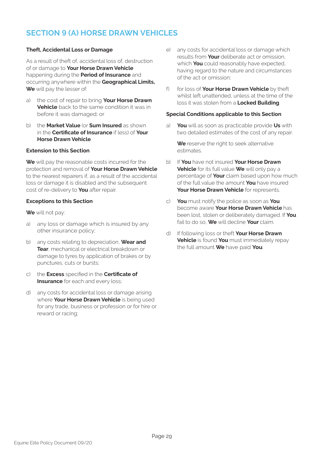### **SECTION 9 (A) HORSE DRAWN VEHICLES**

#### **Theft, Accidental Loss or Damage**

As a result of theft of, accidental loss of, destruction of or damage to **Your Horse Drawn Vehicle**  happening during the **Period of Insurance** and occurring anywhere within the **Geographical Limits, We** will pay the lesser of:

- a) the cost of repair to bring **Your Horse Drawn Vehicle** back to the same condition it was in before it was damaged; or
- b) the **Market Value** (or **Sum Insured** as shown in the **Certificate of Insurance** if less) of **Your Horse Drawn Vehicle**.

#### **Extension to this Section**

**We** will pay the reasonable costs incurred for the protection and removal of **Your Horse Drawn Vehicle**  to the nearest repairers if, as a result of the accidental loss or damage it is disabled and the subsequent cost of re-delivery to **You** after repair.

#### **Exceptions to this Section**

**We** will not pay:

- a) any loss or damage which is insured by any other insurance policy;
- b) any costs relating to depreciation, **Wear and Tear**, mechanical or electrical breakdown or damage to tyres by application of brakes or by punctures, cuts or bursts;
- c) the **Excess** specified in the **Certificate of Insurance** for each and every loss;
- d) any costs for accidental loss or damage arising where **Your Horse Drawn Vehicle** is being used for any trade, business or profession or for hire or reward or racing;
- e) any costs for accidental loss or damage which results from **Your** deliberate act or omission, which **You** could reasonably have expected, having regard to the nature and circumstances of the act or omission;
- f) for loss of **Your Horse Drawn Vehicle** by theft whilst left unattended, unless at the time of the loss it was stolen from a **Locked Building**.

#### **Special Conditions applicable to this Section**

a) **You** will as soon as practicable provide **Us** with two detailed estimates of the cost of any repair.

**We** reserve the right to seek alternative estimates.

- b) If **You** have not insured **Your Horse Drawn Vehicle** for its full value **We** will only pay a percentage of **Your** claim based upon how much of the full value the amount **You** have insured **Your Horse Drawn Vehicle** for represents.
- c) **You** must notify the police as soon as **You**  become aware **Your Horse Drawn Vehicle** has been lost, stolen or deliberately damaged. If **You**  fail to do so, **We** will decline **Your** claim.
- d) If following loss or theft **Your Horse Drawn Vehicle** is found **You** must immediately repay the full amount **We** have paid **You**.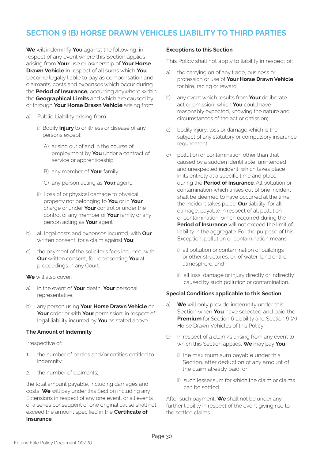### **SECTION 9 (B) HORSE DRAWN VEHICLES LIABILITY TO THIRD PARTIES**

**We** will indemnify **You** against the following, in respect of any event where this Section applies arising from **Your** use or ownership of **Your Horse Drawn Vehicle** in respect of all sums which **You**  become legally liable to pay as compensation and claimants' costs and expenses which occur during the **Period of Insurance,** occurring anywhere within the **Geographical Limits** and which are caused by or through **Your Horse Drawn Vehicle** arising from:

- a) Public Liability arising from
	- i) Bodily **Injury** to or illness or disease of any persons except:
		- A) arising out of and in the course of employment by **You** under a contract of service or apprenticeship;
		- B) any member of **Your** family;
		- C) any person acting as **Your** agent.
	- ii) Loss of or physical damage to physical property not belonging to **You** or in **Your**  charge or under **Your** control or under the control of any member of **Your** family or any person acting as **Your** agent.
- b) all legal costs and expenses incurred, with **Our**  written consent, for a claim against **You**;
- c) the payment of the solicitor's fees incurred, with **Our** written consent, for representing **You** at proceedings in any Court.
- **We** will also cover:
- a) in the event of **Your** death, **Your** personal representative;
- b) any person using **Your Horse Drawn Vehicle** on **Your** order or with **Your** permission; in respect of legal liability incurred by **You** as stated above.

#### **The Amount of Indemnity**

Irrespective of:

- 1. the number of parties and/or entities entitled to indemnity;
- 2. the number of claimants;

the total amount payable, including damages and costs, **We** will pay under this Section including any Extensions in respect of any one event, or all events of a series consequent of one original cause shall not exceed the amount specified in the **Certificate of Insurance**.

#### **Exceptions to this Section**

This Policy shall not apply to liability in respect of:

- a) the carrying on of any trade, business or profession or use of **Your Horse Drawn Vehicle**  for hire, racing or reward;
- b) any event which results from **Your** deliberate act or omission, which **You** could have reasonably expected, knowing the nature and circumstances of the act or omission;
- c) bodily injury, loss or damage which is the subject of any statutory or compulsory insurance requirement;
- d) pollution or contamination other than that caused by a sudden identifiable, unintended and unexpected incident, which takes place in its entirety at a specific time and place during the **Period of Insurance**. All pollution or contamination which arises out of one incident shall be deemed to have occurred at the time the incident takes place. **Our** liability, for all damage, payable in respect of all pollution or contamination, which occurred during the **Period of Insurance** will not exceed the limit of liability in the aggregate. For the purpose of this Exception, pollution or contamination means:
	- i) all pollution or contamination of buildings or other structures, or, of water, land or the atmosphere; and
	- ii) all loss, damage or injury directly or indirectly caused by such pollution or contamination.

#### **Special Conditions applicable to this Section**

- a) **We** will only provide indemnity under this Section when **You** have selected and paid the **Premium** for Section 6 Liability and Section 9 (A) Horse Drawn Vehicles of this Policy.
- b) In respect of a claim/s arising from any event to which this Section applies, **We** may pay **You**
	- i) the maximum sum payable under this Section, after deduction of any amount of the claim already paid; or
	- ii) such lesser sum for which the claim or claims can be settled.

After such payment, **We** shall not be under any further liability in respect of the event giving rise to the settled claims.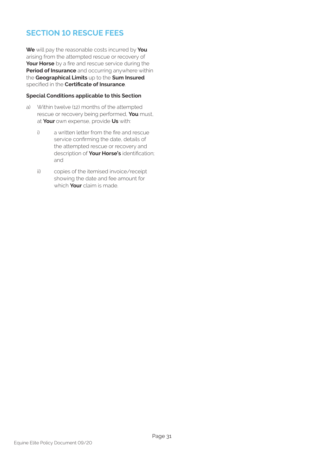### **SECTION 10 RESCUE FEES**

**We** will pay the reasonable costs incurred by **You** arising from the attempted rescue or recovery of **Your Horse** by a fire and rescue service during the **Period of Insurance** and occurring anywhere within the **Geographical Limits** up to the **Sum Insured** specified in the **Certificate of Insurance**.

#### **Special Conditions applicable to this Section**

- a) Within twelve (12) months of the attempted rescue or recovery being performed, **You** must, at **Your** own expense, provide **Us** with:
	- i) a written letter from the fire and rescue service confirming the date, details of the attempted rescue or recovery and description of **Your Horse's** identification; and
	- ii) copies of the itemised invoice/receipt showing the date and fee amount for which **Your** claim is made.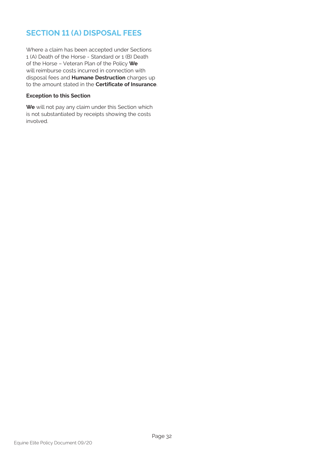### **SECTION 11 (A) DISPOSAL FEES**

Where a claim has been accepted under Sections 1 (A) Death of the Horse - Standard or 1 (B) Death of the Horse – Veteran Plan of the Policy **We** will reimburse costs incurred in connection with disposal fees and **Humane Destruction** charges up to the amount stated in the **Certificate of Insurance**.

#### **Exception to this Section**

**We** will not pay any claim under this Section which is not substantiated by receipts showing the costs involved.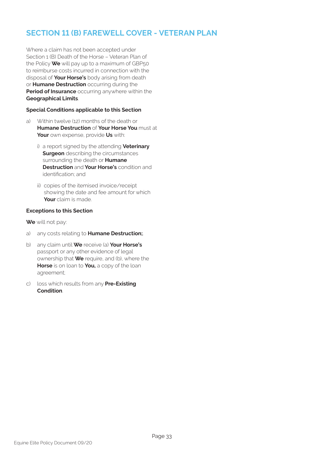### **SECTION 11 (B) FAREWELL COVER - VETERAN PLAN**

Where a claim has not been accepted under Section 1 (B) Death of the Horse – Veteran Plan of the Policy **We** will pay up to a maximum of GBP50 to reimburse costs incurred in connection with the disposal of **Your Horse's** body arising from death or **Humane Destruction** occurring during the **Period of Insurance** occurring anywhere within the **Geographical Limits**.

#### **Special Conditions applicable to this Section**

- a) Within twelve (12) months of the death or **Humane Destruction** of **Your Horse You** must at **Your** own expense, provide **Us** with:
	- i) a report signed by the attending **Veterinary Surgeon** describing the circumstances surrounding the death or **Humane Destruction** and **Your Horse's** condition and identification; and
	- ii) copies of the itemised invoice/receipt showing the date and fee amount for which **Your** claim is made.

#### **Exceptions to this Section**

**We** will not pay:

- a) any costs relating to **Humane Destruction;**.
- b) any claim until **We** receive (a) **Your Horse's** passport or any other evidence of legal ownership that **We** require, and (b), where the **Horse** is on loan to **You,** a copy of the loan agreement;
- c) loss which results from any **Pre-Existing Condition**.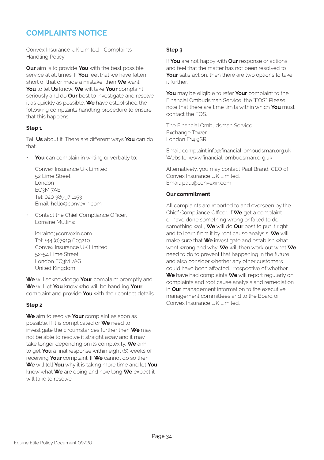### **COMPLAINTS NOTICE**

Convex Insurance UK Limited - Complaints Handling Policy

**Our** aim is to provide **You** with the best possible service at all times. If **You** feel that we have fallen short of that or made a mistake, then **We** want **You** to let **Us** know. **We** will take **Your** complaint seriously and do **Our** best to investigate and resolve it as quickly as possible. **We** have established the following complaints handling procedure to ensure that this happens.

#### **Step 1**

Tell **Us** about it. There are different ways **You** can do that.

• **You** can complain in writing or verbally to:

Convex Insurance UK Limited 52 Lime Street London EC3M 7AE Tel: 020 38997 1153 Email: hello@convexin.com

• Contact the Chief Compliance Officer, Lorraine Mullins:

lorraine@convexin.com Tel: +44 (0)7919 603210 Convex Insurance UK Limited 52-54 Lime Street London EC3M 7AG United Kingdom

**We** will acknowledge **Your** complaint promptly and **We** will let **You** know who will be handling **Your**  complaint and provide **You** with their contact details.

#### **Step 2**

**We** aim to resolve **Your** complaint as soon as possible. If it is complicated or **We** need to investigate the circumstances further then **We** may not be able to resolve it straight away and it may take longer depending on its complexity. **We** aim to get **You** a final response within eight (8) weeks of receiving **Your** complaint. If **We** cannot do so then **We** will tell **You** why it is taking more time and let **You** know what **We** are doing and how long **We** expect it will take to resolve.

#### **Step 3**

If **You** are not happy with **Our** response or actions and feel that the matter has not been resolved to **Your** satisfaction, then there are two options to take it further.

**You** may be eligible to refer **Your** complaint to the Financial Ombudsman Service, the "FOS". Please note that there are time limits within which **You** must contact the FOS.

The Financial Ombudsman Service Exchange Tower London E14 9SR

Email: complaint.info@financial-ombudsman.org.uk Website: www.financial-ombudsman.org.uk

Alternatively, you may contact Paul Brand, CEO of Convex Insurance UK Limited. Email: paul@convexin.com

#### **Our commitment**

All complaints are reported to and overseen by the Chief Compliance Officer. If **We** get a complaint or have done something wrong or failed to do something well, **We** will do **Our** best to put it right and to learn from it by root cause analysis. **We** will make sure that **We** investigate and establish what went wrong and why. **We** will then work out what **We** need to do to prevent that happening in the future and also consider whether any other customers could have been affected. Irrespective of whether **We** have had complaints **We** will report regularly on complaints and root cause analysis and remediation in **Our** management information to the executive management committees and to the Board of Convex Insurance UK Limited.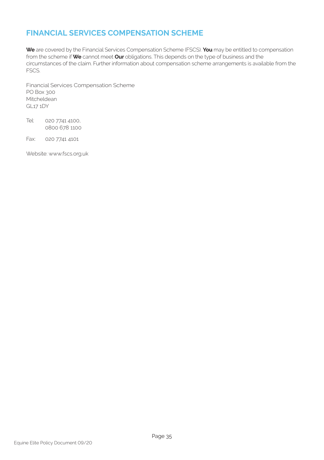### **FINANCIAL SERVICES COMPENSATION SCHEME**

**We** are covered by the Financial Services Compensation Scheme (FSCS). **You** may be entitled to compensation from the scheme if **We** cannot meet **Our** obligations. This depends on the type of business and the circumstances of the claim. Further information about compensation scheme arrangements is available from the FSCS.

Financial Services Compensation Scheme PO Box 300 **Mitcheldean** GL17 1DY

Tel: 020 7741 4100, 0800 678 1100

Fax: 020 7741 4101

Website: www.fscs.org.uk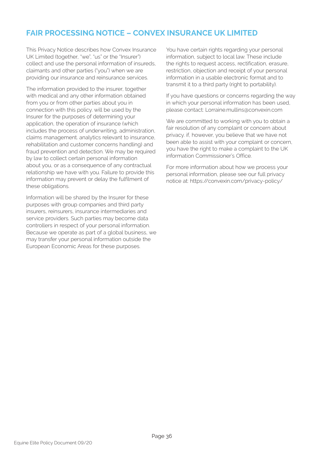### **FAIR PROCESSING NOTICE – CONVEX INSURANCE UK LIMITED**

This Privacy Notice describes how Convex Insurance UK Limited (together, "we", "us" or the "Insurer") collect and use the personal information of insureds, claimants and other parties ("you") when we are providing our insurance and reinsurance services.

The information provided to the insurer, together with medical and any other information obtained from you or from other parties about you in connection with this policy. will be used by the Insurer for the purposes of determining your application, the operation of insurance (which includes the process of underwriting, administration, claims management. analytics relevant to insurance, rehabilitation and customer concerns handling) and fraud prevention and detection. We may be required by law to collect certain personal information about you, or as a consequence of any contractual relationship we have with you. Failure to provide this information may prevent or delay the fulfilment of these obligations.

Information will be shared by the Insurer for these purposes with group companies and third party insurers, reinsurers, insurance intermediaries and service providers. Such parties may become data controllers in respect of your personal information. Because we operate as part of a global business, we may transfer your personal information outside the European Economic Areas for these purposes.

You have certain rights regarding your personal information, subject to local law. These include the rights to request access, rectification, erasure, restriction, objection and receipt of your personal information in a usable electronic format and to transmit it to a third party (right to portability).

If you have questions or concerns regarding the way in which your personal information has been used, please contact: Lorraine.mullins@convexin.com

We are committed to working with you to obtain a fair resolution of any complaint or concern about privacy. if, however, you believe that we have not been able to assist with your complaint or concern, you have the right to make a complaint to the UK information Commissioner's Office.

For more information about how we process your personal information, please see our full privacy notice at: https://convexin.com/privacy-policy/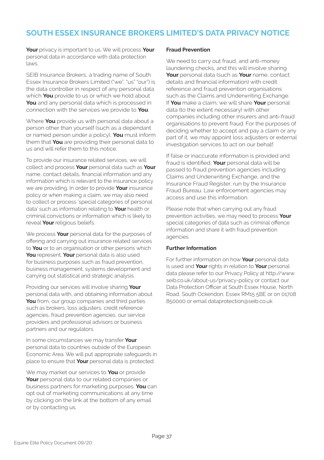### **SOUTH ESSEX INSURANCE BROKERS LIMITED'S DATA PRIVACY NOTICE**

**Your** privacy is important to us. We will process **Your**  personal data in accordance with data protection laws.

SEIB Insurance Brokers, a trading name of South Essex Insurance Brokers Limited ("we", "us" "our") is the data controller in respect of any personal data which **You** provide to us or which we hold about **You** and any personal data which is processed in connection with the services we provide to **You**.

Where **You** provide us with personal data about a person other than yourself (such as a dependant or named person under a policy), **You** must inform them that **You** are providing their personal data to us and will refer them to this notice.

To provide our insurance related services, we will collect and process **Your** personal data such as **Your**  name, contact details, financial information and any information which is relevant to the insurance policy we are providing. In order to provide **Your** insurance policy or when making a claim, we may also need to collect or process 'special categories of personal data' such as information relating to **Your** health or criminal convictions or information which is likely to reveal **Your** religious beliefs.

We process **Your** personal data for the purposes of offering and carrying out insurance related services to **You** or to an organisation or other persons which You represent. Your personal data is also used for business purposes such as fraud prevention, business management, systems development and carrying out statistical and strategic analysis.

Providing our services will involve sharing **Your**  personal data with, and obtaining information about **You** from, our group companies and third parties such as brokers, loss adjusters, credit reference agencies, fraud prevention agencies, our service providers and professional advisors or business partners and our regulators.

In some circumstances we may transfer **Your**  personal data to countries outside of the European Economic Area. We will put appropriate safeguards in place to ensure that **Your** personal data is protected.

We may market our services to **You** or provide **Your** personal data to our related companies or business partners for marketing purposes. **You** can opt out of marketing communications at any time by clicking on the link at the bottom of any email or by contacting us.

#### **Fraud Prevention**

We need to carry out fraud, and anti-money laundering checks, and this will involve sharing **Your** personal data (such as **Your** name, contact details and financial information) with credit reference and fraud prevention organisations such as the Claims and Underwriting Exchange. If **You** make a claim, we will share **Your** personal data (to the extent necessary) with other companies including other insurers and anti-fraud organisations to prevent fraud. For the purposes of deciding whether to accept and pay a claim or any part of it, we may appoint loss adjusters or external investigation services to act on our behalf.

If false or inaccurate information is provided and fraud is identified, **Your** personal data will be passed to fraud prevention agencies including Claims and Underwriting Exchange, and the Insurance Fraud Register, run by the Insurance Fraud Bureau. Law enforcement agencies may access and use this information.

Please note that when carrying out any fraud prevention activities, we may need to process **Your**  special categories of data such as criminal offence information and share it with fraud prevention agencies.

#### **Further Information**

For further information on how **Your** personal data is used and **Your** rights in relation to **Your** personal data please refer to our Privacy Policy at http://www. seib.co.uk/about-us/privacy-policy or contact our Data Protection Officer at South Essex House, North Road, South Ockendon, Essex RM15 5BE or on 01708 850000 or email dataprotection@seib.co.uk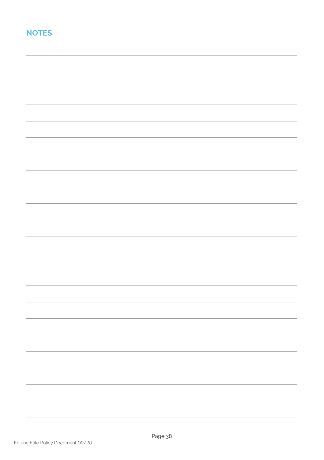### **NOTES**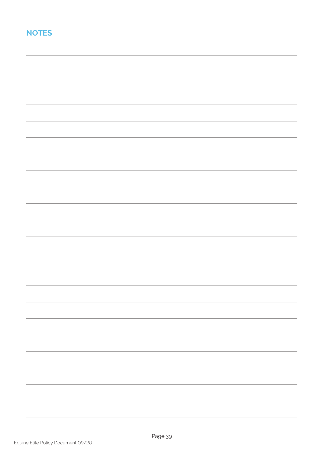### **NOTES**